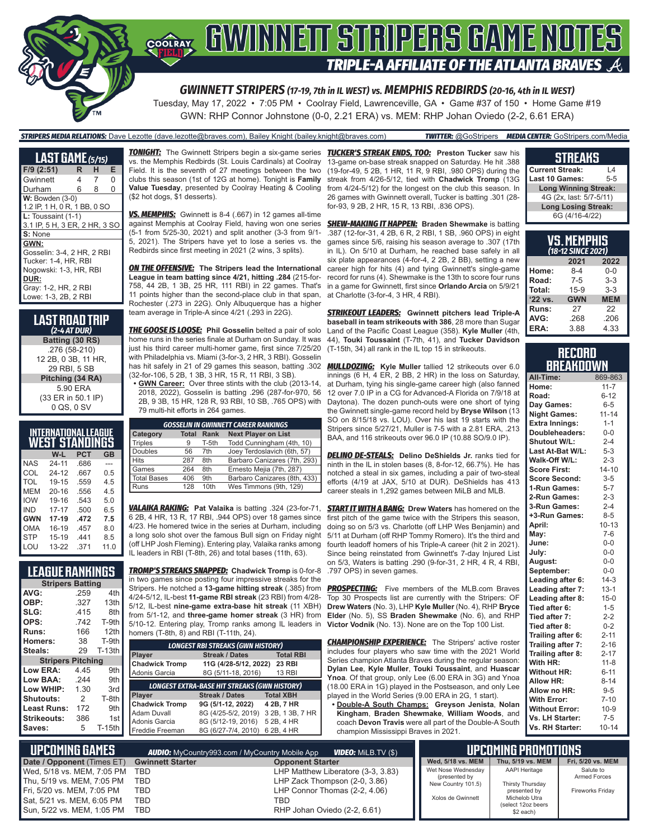

GWN: RHP Connor Johnstone (0-0, 2.21 ERA) vs. MEM: RHP Johan Oviedo (2-2, 6.61 ERA)

#### *STRIPERS MEDIA RELATIONS:* Dave Lezotte (dave.lezotte@braves.com), Bailey Knight (bailey.knight@braves.com) *TWITTER:* @GoStripers *MEDIA CENTER:* GoStripers.com/Media

| <b>LAST GAME</b> (5/15)       |   |   |   |
|-------------------------------|---|---|---|
| F/9 (2:51)                    | R | н | Е |
| Gwinnett                      | 4 | 7 | 0 |
| Durham                        | 6 | 8 | 0 |
| $W:$ Bowden $(3-0)$           |   |   |   |
| 1.2 IP, 1 H, 0 R, 1 BB, 0 SO  |   |   |   |
| L: Toussaint (1-1)            |   |   |   |
| 3.1 IP, 5 H, 3 ER, 2 HR, 3 SC |   |   |   |
| S: None                       |   |   |   |
| GWN:                          |   |   |   |
| Gosselin: 3-4, 2 HR, 2 RBI    |   |   |   |
| Tucker: 1-4, HR, RBI          |   |   |   |
| Nogowski: 1-3, HR, RBI        |   |   |   |
| DUR:                          |   |   |   |
| Gray: 1-2, HR, 2 RBI          |   |   |   |
| Lowe: 1-3, 2B, 2 RBI          |   |   |   |

**LAST ROAD TRIP** *(2-4 AT DUR)* **Batting (30 RS)** .276 (58-210) 12 2B, 0 3B, 11 HR, 29 RBI, 5 SB **Pitching (34 RA)** 5.90 ERA (33 ER in 50.1 IP) 0 QS, 0 SV

| INTERNATIONAL LEAGUE<br>WEST STANDINGS |           |      |      |  |  |  |  |
|----------------------------------------|-----------|------|------|--|--|--|--|
|                                        | W-L       | PCT  | GB   |  |  |  |  |
| <b>NAS</b>                             | 24-11     | .686 |      |  |  |  |  |
| COL                                    | $24 - 12$ | .667 | 0.5  |  |  |  |  |
| TOL                                    | 19-15     | .559 | 45   |  |  |  |  |
| MEM                                    | $20 - 16$ | .556 | 4.5  |  |  |  |  |
| <b>IOW</b>                             | 19-16     | .543 | 5.0  |  |  |  |  |
| IND                                    | $17 - 17$ | .500 | 6.5  |  |  |  |  |
| <b>GWN</b>                             | 17-19     | .472 | 7.5  |  |  |  |  |
| OMA                                    | 16-19     | .457 | 8.0  |  |  |  |  |
| <b>STP</b>                             | 15-19     | 441  | 8.5  |  |  |  |  |
| LOU                                    | 13-22     | .371 | 11.0 |  |  |  |  |

**LEAGUE RANKINGS Stripers Batting**<br>259 **AVG:** .259 4th **OBP:** .327 13th<br>**SLG:** .415 8th **SLG:** .415 8th<br> **OPS:** .742 T-9th **OPS:** .742<br>**Runs:** 166 **Runs:** 166 12th **Homers:** 38 T-9th<br>**Steals:** 29 T-13th Steals: **Stripers Pitching Low ERA:** 4.45 9th **Low BAA:** .244<br>**Low WHIP:** 130 **Low WHIP:** 1.30 3rd **Shutouts:** 2 T-8th **Least Runs: Strikeouts:** 386 1st<br> **Saves:** 5 T-15th Saves:

*TONIGHT:* The Gwinnett Stripers begin a six-game series *TUCKER'S STREAK ENDS, TOO:* **Preston Tucker** saw his vs. the Memphis Redbirds (St. Louis Cardinals) at Coolray Field. It is the seventh of 27 meetings between the two clubs this season (1st of 12G at home). Tonight is **Family Value Tuesday**, presented by Coolray Heating & Cooling (\$2 hot dogs, \$1 desserts).

*VS. MEMPHIS:* Gwinnett is 8-4 (.667) in 12 games all-time against Memphis at Coolray Field, having won one series (5-1 from 5/25-30, 2021) and split another (3-3 from 9/1- 5, 2021). The Stripers have yet to lose a series vs. the Redbirds since first meeting in 2021 (2 wins, 3 splits).

*ON THE OFFENSIVE:* **The Stripers lead the International League in team batting since 4/21, hitting .284** (215-for-758, 44 2B, 1 3B, 25 HR, 111 RBI) in 22 games. That's 11 points higher than the second-place club in that span. Rochester (.273 in 22G). Only Albuquerque has a higher team average in Triple-A since 4/21 (.293 in 22G).

*THE GOOSE IS LOOSE:* **Phil Gosselin** belted a pair of solo home runs in the series finale at Durham on Sunday. It was just his third career multi-homer game, first since 7/25/20 with Philadelphia vs. Miami (3-for-3, 2 HR, 3 RBI). Gosselin (32-for-106, 5 2B, 1 3B, 3 HR, 15 R, 11 RBI, 3 SB).

**• GWN Career:** Over three stints with the club (2013-14, 2018, 2022), Gosselin is batting .296 (287-for-970, 56 2B, 9 3B, 15 HR, 128 R, 93 RBI, 10 SB, .765 OPS) with 79 multi-hit efforts in 264 games.

| <b>GOSSELIN IN GWINNETT CAREER RANKINGS</b> |              |             |                              |  |  |
|---------------------------------------------|--------------|-------------|------------------------------|--|--|
| <b>Category</b>                             | <b>Total</b> | <b>Rank</b> | <b>Next Player on List</b>   |  |  |
| <b>Triples</b>                              | 9            | T-5th       | Todd Cunningham (4th, 10)    |  |  |
| Doubles                                     | 56           | 7th         | Joey Terdoslavich (6th, 57)  |  |  |
| <b>Hits</b>                                 | 287          | 8th         | Barbaro Canizares (7th, 293) |  |  |
| Games                                       | 264          | 8th         | Ernesto Mejia (7th, 287)     |  |  |
| <b>Total Bases</b>                          | 406          | 9th         | Barbaro Canizares (8th, 433) |  |  |
| Runs                                        | 128          | 10th        | Wes Timmons (9th, 129)       |  |  |

*VALAIKA RAKING:* **Pat Valaika** is batting .324 (23-for-71, 6 2B, 4 HR, 13 R, 17 RBI, .944 OPS) over 18 games since 4/23. He homered twice in the series at Durham, including a long solo shot over the famous Bull sign on Friday night (off LHP Josh Fleming). Entering play, Valaika ranks among IL leaders in RBI (T-8th, 26) and total bases (11th, 63).

*TROMP'S STREAKS SNAPPED:* **Chadwick Tromp** is 0-for-8 in two games since posting four impressive streaks for the Stripers. He notched a **13-game hitting streak** (.385) from 4/24-5/12, IL-best **11-game RBI streak** (23 RBI) from 4/28- 5/12, IL-best **nine-game extra-base hit streak** (11 XBH) from 5/1-12, and **three-game homer streak** (3 HR) from 5/10-12. Entering play, Tromp ranks among IL leaders in homers (T-8th, 8) and RBI (T-11th, 24).

| <b>LONGEST RBI STREAKS (GWN HISTORY)</b>            |                       |                  |  |  |  |  |  |
|-----------------------------------------------------|-----------------------|------------------|--|--|--|--|--|
| Player                                              | <b>Streak / Dates</b> | <b>Total RBI</b> |  |  |  |  |  |
| <b>Chadwick Tromp</b>                               | 11G (4/28-5/12, 2022) | <b>23 RBI</b>    |  |  |  |  |  |
| Adonis Garcia                                       | 8G (5/11-18, 2016)    | <b>13 RBI</b>    |  |  |  |  |  |
| <b>LONGEST EXTRA-BASE HIT STREAKS (GWN HISTORY)</b> |                       |                  |  |  |  |  |  |
|                                                     |                       |                  |  |  |  |  |  |
| Player                                              | <b>Streak / Dates</b> | <b>Total XBH</b> |  |  |  |  |  |
| <b>Chadwick Tromp</b>                               | 9G (5/1-12, 2022)     | 4 2B, 7 HR       |  |  |  |  |  |
| <b>Adam Duvall</b>                                  | 8G (4/25-5/2, 2019)   | 3 2B, 1 3B, 7 HR |  |  |  |  |  |
| Adonis Garcia                                       | 8G (5/12-19, 2016)    | 5 2B, 4 HR       |  |  |  |  |  |
| Freddie Freeman                                     | 8G (6/27-7/4, 2010)   | 6 2B, 4 HR       |  |  |  |  |  |

13-game on-base streak snapped on Saturday. He hit .388 (19-for-49, 5 2B, 1 HR, 11 R, 9 RBI, .980 OPS) during the streak from 4/26-5/12, tied with **Chadwick Tromp** (13G from 4/24-5/12) for the longest on the club this season. In 26 games with Gwinnett overall, Tucker is batting .301 (28 for-93, 9 2B, 2 HR, 15 R, 13 RBI, .836 OPS).

*SHEW-MAKING IT HAPPEN:* **Braden Shewmake** is batting .387 (12-for-31, 4 2B, 6 R, 2 RBI, 1 SB, .960 OPS) in eight games since 5/6, raising his season average to .307 (17th in IL). On 5/10 at Durham, he reached base safely in all six plate appearances (4-for-4, 2 2B, 2 BB), setting a new career high for hits (4) and tying Gwinnett's single-game record for runs (4). Shewmake is the 13th to score four runs in a game for Gwinnett, first since **Orlando Arcia** on 5/9/21 at Charlotte (3-for-4, 3 HR, 4 RBI).

*STRIKEOUT LEADERS:* **Gwinnett pitchers lead Triple-A baseball in team strikeouts with 386**, 28 more than Sugar Land of the Pacific Coast League (358). **Kyle Muller** (4th, 44), **Touki Toussaint** (T-7th, 41), and **Tucker Davidson** (T-15th, 34) all rank in the IL top 15 in strikeouts.

has hit safely in 21 of 29 games this season, batting .302 *MULLDOZING:* **Kyle Muller** tallied 12 strikeouts over 6.0 innings (6 H, 4 ER, 2 BB, 2 HR) in the loss on Saturday, at Durham, tying his single-game career high (also fanned 12 over 7.0 IP in a CG for Advanced-A Florida on 7/9/18 at Daytona). The dozen punch-outs were one short of tying the Gwinnett single-game record held by **Bryse Wilson** (13 SO on 8/15/18 vs. LOU). Over his last 19 starts with the Stripers since  $5/27/21$ , Muller is 7-5 with a 2.81 FRA, 213 BAA, and 116 strikeouts over 96.0 IP (10.88 SO/9.0 IP).

> *DELINO DE-STEALS:* **Delino DeShields Jr.** ranks tied for ninth in the IL in stolen bases (8, 8-for-12, 66.7%). He has notched a steal in six games, including a pair of two-steal efforts (4/19 at JAX, 5/10 at DUR). DeShields has 413 career steals in 1,292 games between MiLB and MLB.

> *START IT WITH A BANG:* **Drew Waters** has homered on the first pitch of the game twice with the Stripers this season, doing so on 5/3 vs. Charlotte (off LHP Wes Benjamin) and 5/11 at Durham (off RHP Tommy Romero). It's the third and fourth leadoff homers of his Triple-A career (hit 2 in 2021). Since being reinstated from Gwinnett's 7-day Injured List on 5/3, Waters is batting .290 (9-for-31, 2 HR, 4 R, 4 RBI, .797 OPS) in seven games.

> **PROSPECTING:** Five members of the MLB.com Braves Top 30 Prospects list are currently with the Stripers: OF **Drew Waters** (No. 3), LHP **Kyle Muller** (No. 4), RHP **Bryce Elder** (No. 5), SS **Braden Shewmake** (No. 6), and RHP **Victor Vodnik** (No. 13). None are on the Top 100 List.

> **CHAMPIONSHIP EXPERIENCE:** The Stripers' active roster includes four players who saw time with the 2021 World Series champion Atlanta Braves during the regular season: **Dylan Lee**, **Kyle Muller**, **Touki Toussaint**, and **Huascar Ynoa**. Of that group, only Lee (6.00 ERA in 3G) and Ynoa (18.00 ERA in 1G) played in the Postseason, and only Lee played in the World Series (9.00 ERA in 2G, 1 start).

**• Double-A South Champs: Greyson Jenista**, **Nolan Kingham**, **Braden Shewmake**, **William Woods**, and coach **Devon Travis** were all part of the Double-A South champion Mississippi Braves in 2021.

#### **STREAKS**

| <b>Current Streak:</b>      | 14      |  |  |  |  |
|-----------------------------|---------|--|--|--|--|
| Last 10 Games:              | $5 - 5$ |  |  |  |  |
| <b>Long Winning Streak:</b> |         |  |  |  |  |
| 4G (2x, last: 5/7-5/11)     |         |  |  |  |  |
| <b>Long Losing Streak:</b>  |         |  |  |  |  |
| 6G (4/16-4/22)              |         |  |  |  |  |
|                             |         |  |  |  |  |

| VS.MEMPHIS<br>(18-12 SINCE 2021) |                          |         |  |  |  |  |  |
|----------------------------------|--------------------------|---------|--|--|--|--|--|
|                                  | 2021                     | 2022    |  |  |  |  |  |
| Home:                            | 8-4                      | $0 - 0$ |  |  |  |  |  |
| Road:                            | $7-5$                    | $3-3$   |  |  |  |  |  |
| Total:                           | $15-9$                   | $3-3$   |  |  |  |  |  |
| '22 vs.                          | <b>GWN</b><br><b>MEM</b> |         |  |  |  |  |  |
| Runs:                            | 27                       | 22      |  |  |  |  |  |
| AVG:                             | .268                     | .206    |  |  |  |  |  |
| ERA:                             | 3.88                     | 4.33    |  |  |  |  |  |

#### **RECORD RRFAKNOWN**

| All-Time:             | 869-863   |
|-----------------------|-----------|
| Home:                 | $11 - 7$  |
| Road:                 | $6 - 12$  |
| Day Games:            | $6-5$     |
| <b>Night Games:</b>   | $11 - 14$ |
| <b>Extra Innings:</b> | $1 - 1$   |
| Doubleheaders:        | $0-0$     |
| <b>Shutout W/L:</b>   | $2 - 4$   |
| Last At-Bat W/L:      | $5 - 3$   |
| Walk-Off W/L:         | $2 - 3$   |
| <b>Score First:</b>   | $14 - 10$ |
| <b>Score Second:</b>  | $3 - 5$   |
| 1-Run Games:          | $5 - 7$   |
| 2-Run Games:          | $2 - 3$   |
| 3-Run Games:          | $2 - 4$   |
| +3-Run Games:         | $8 - 5$   |
| April:                | $10 - 13$ |
| May:                  | $7-6$     |
| June:                 | $0 - 0$   |
| July:                 | $0-0$     |
| August:               | $0-0$     |
| September:            | $0-0$     |
| Leading after 6:      | $14-3$    |
| Leading after 7:      | $13 - 1$  |
| Leading after 8:      | $15 - 0$  |
| Tied after 6:         | $1 - 5$   |
| Tied after 7:         | $2 - 2$   |
| Tied after 8:         | $0 - 2$   |
| Trailing after 6:     | $2 - 11$  |
| Trailing after 7:     | $2 - 16$  |
| Trailing after 8:     | $2 - 17$  |
| With HR:              | $11 - 8$  |
| <b>Without HR:</b>    | $6 - 11$  |
| <b>Allow HR:</b>      | $8 - 14$  |
| Allow no HR:          | $9 - 5$   |
| <b>With Error:</b>    | $7 - 10$  |
| <b>Without Error:</b> | $10-9$    |
| Vs. LH Starter:       | $7-5$     |
| Vs. RH Starter:       | $10 - 14$ |

| <b>UPCOMING GAMES</b>          |                         | $'$ <i>VIDEO:</i> Milb.tv $(\$)$ ,<br><b>AUDIO:</b> MyCountry993.com / MyCountry Mobile App |                                     | <b>UPCOMING PROMOTIONS</b>          |                         |
|--------------------------------|-------------------------|---------------------------------------------------------------------------------------------|-------------------------------------|-------------------------------------|-------------------------|
| Date / Opponent (Times ET)     | <b>Gwinnett Starter</b> | <b>Opponent Starter</b>                                                                     | Wed. 5/18 vs. MEM                   | Thu. 5/19 vs. MEM                   | Fri. 5/20 vs. MEM       |
| Wed, 5/18 vs. MEM, 7:05 PM TBD |                         | LHP Matthew Liberatore (3-3, 3.83)                                                          | Wet Nose Wednesday                  | <b>AAPI Heritage</b>                | Salute to               |
| Thu. 5/19 vs. MEM. 7:05 PM     | TBD                     | LHP Zack Thompson (2-0, 3.86)                                                               | (presented by<br>New Country 101.5) | Thirsty Thursday                    | <b>Armed Forces</b>     |
| Fri, 5/20 vs. MEM, 7:05 PM     | TBD                     | LHP Connor Thomas (2-2, 4.06)                                                               |                                     | presented by                        | <b>Fireworks Fridav</b> |
| Sat, 5/21 vs. MEM, 6:05 PM     | TBD                     | TBD                                                                                         | Xolos de Gwinnett                   | Michelob Utra<br>(select 12oz beers |                         |
| Sun, 5/22 vs. MEM, 1:05 PM     | TBD                     | RHP Johan Oviedo (2-2, 6.61)                                                                |                                     | \$2 each)                           |                         |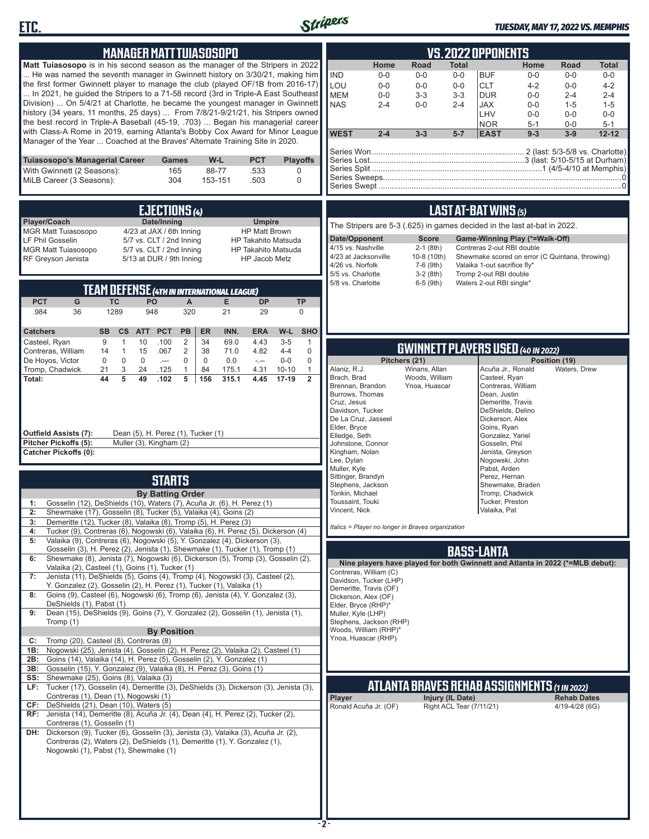



#### *TUESDAY, MAY 17, 2022 VS. MEMPHIS*

| <b>MANAGER MATT TUIASOSOPO</b>                                                                                                                                                                                                                                                                                                                                                                                                                                                                                                                                                                                                                                                                                                                                                                                                                                                                                                                                                                                                                                                                                                                                                                                                                                                                                                                                                                                                                                                                                                                                                                                                                     | <b>VS.2022 OPPONENTS</b>                                                                                                                                                                                                                                                                                                                                                                                                                                                                                                                                                                                                                                                                                                                                                                       |
|----------------------------------------------------------------------------------------------------------------------------------------------------------------------------------------------------------------------------------------------------------------------------------------------------------------------------------------------------------------------------------------------------------------------------------------------------------------------------------------------------------------------------------------------------------------------------------------------------------------------------------------------------------------------------------------------------------------------------------------------------------------------------------------------------------------------------------------------------------------------------------------------------------------------------------------------------------------------------------------------------------------------------------------------------------------------------------------------------------------------------------------------------------------------------------------------------------------------------------------------------------------------------------------------------------------------------------------------------------------------------------------------------------------------------------------------------------------------------------------------------------------------------------------------------------------------------------------------------------------------------------------------------|------------------------------------------------------------------------------------------------------------------------------------------------------------------------------------------------------------------------------------------------------------------------------------------------------------------------------------------------------------------------------------------------------------------------------------------------------------------------------------------------------------------------------------------------------------------------------------------------------------------------------------------------------------------------------------------------------------------------------------------------------------------------------------------------|
| Matt Tuiasosopo is in his second season as the manager of the Stripers in 2022<br>He was named the seventh manager in Gwinnett history on 3/30/21, making him<br>the first former Gwinnett player to manage the club (played OF/1B from 2016-17)<br>In 2021, he guided the Stripers to a 71-58 record (3rd in Triple-A East Southeast<br>Division)  On 5/4/21 at Charlotte, he became the youngest manager in Gwinnett<br>history (34 years, 11 months, 25 days)  From 7/8/21-9/21/21, his Stripers owned<br>the best record in Triple-A Baseball (45-19, .703)  Began his managerial career<br>with Class-A Rome in 2019, earning Atlanta's Bobby Cox Award for Minor League<br>Manager of the Year  Coached at the Braves' Alternate Training Site in 2020.                                                                                                                                                                                                                                                                                                                                                                                                                                                                                                                                                                                                                                                                                                                                                                                                                                                                                      | Home<br>Road<br>Total<br>Home<br>Road<br><b>Total</b><br><b>IND</b><br>$0-0$<br><b>BUF</b><br>$0-0$<br>$0-0$<br>$0-0$<br>$0-0$<br>$0-0$<br><b>CLT</b><br>LOU<br>$0-0$<br>$0-0$<br>$4 - 2$<br>$0-0$<br>$0-0$<br>$4 - 2$<br><b>MEM</b><br>$0-0$<br>$3 - 3$<br>$0 - 0$<br>$3-3$<br><b>DUR</b><br>$2 - 4$<br>$2 - 4$<br><b>NAS</b><br>$2 - 4$<br><b>JAX</b><br>$0-0$<br>$2 - 4$<br>$0-0$<br>$1 - 5$<br>$1 - 5$<br>LHV<br>$0 - 0$<br>$0-0$<br>$0-0$<br><b>NOR</b><br>$5 - 1$<br>$0-0$<br>$5 - 1$<br><b>WEST</b><br>$2 - 4$<br>$3 - 3$<br>$5 - 7$<br>$12 - 12$<br><b>EAST</b><br>$9 - 3$<br>$3-9$                                                                                                                                                                                                    |
| Tuiasosopo's Managerial Career<br>W-L<br><b>PCT</b><br><b>Playoffs</b><br>Games<br>With Gwinnett (2 Seasons):<br>88-77<br>.533<br>165<br>0<br>MiLB Career (3 Seasons):<br>304<br>153-151<br>.503<br>0                                                                                                                                                                                                                                                                                                                                                                                                                                                                                                                                                                                                                                                                                                                                                                                                                                                                                                                                                                                                                                                                                                                                                                                                                                                                                                                                                                                                                                              |                                                                                                                                                                                                                                                                                                                                                                                                                                                                                                                                                                                                                                                                                                                                                                                                |
| <b>EJECTIONS (4)</b><br>Player/Coach<br>Date/Inning<br><b>Umpire</b><br><b>MGR Matt Tuiasosopo</b><br>4/23 at JAX / 6th Inning<br><b>HP Matt Brown</b><br><b>LF Phil Gosselin</b><br>5/7 vs. CLT / 2nd Inning<br><b>HP Takahito Matsuda</b><br>5/7 vs. CLT / 2nd Inning<br><b>MGR Matt Tuiasosopo</b><br><b>HP Takahito Matsuda</b><br>RF Greyson Jenista<br>5/13 at DUR / 9th Inning<br>HP Jacob Metz<br><b>TEAM DEFENSE (4TH IN INTERNATIONAL LEAGUE)</b><br><b>PCT</b><br>G<br><b>TC</b><br>PO<br>$\mathsf{A}$<br>Е<br><b>DP</b><br><b>TP</b><br>320<br>.984<br>36<br>1289<br>948<br>21<br>29<br>$\mathbf 0$<br><b>PCT</b><br>INN.<br>W-L<br><b>SHO</b><br><b>Catchers</b><br><b>SB</b><br>cs<br><b>PB</b><br><b>ER</b><br><b>ERA</b><br><b>ATT</b>                                                                                                                                                                                                                                                                                                                                                                                                                                                                                                                                                                                                                                                                                                                                                                                                                                                                                             | <b>LAST AT-BAT WINS (5)</b><br>The Stripers are 5-3 (.625) in games decided in the last at-bat in 2022.<br>Date/Opponent<br><b>Score</b><br>Game-Winning Play (*=Walk-Off)<br>4/15 vs. Nashville<br>$2-1$ (8th)<br>Contreras 2-out RBI double<br>4/23 at Jacksonville<br>10-8 (10th)<br>Shewmake scored on error (C Quintana, throwing)<br>4/26 vs. Norfolk<br>7-6 (9th)<br>Valaika 1-out sacrifice fly*<br>5/5 vs. Charlotte<br>$3-2(8th)$<br>Tromp 2-out RBI double<br>5/8 vs. Charlotte<br>$6-5$ (9th)<br>Waters 2-out RBI single*                                                                                                                                                                                                                                                          |
| Casteel, Ryan<br>9<br>$\mathbf{1}$<br>10<br>.100<br>2<br>34<br>69.0<br>4.43<br>$3-5$<br>$\mathbf{1}$<br>2<br>14<br>$\mathbf{1}$<br>15<br>.067<br>38<br>71.0<br>4.82<br>$4 - 4$<br>$\mathbf 0$<br>Contreras, William<br>$\mathbf 0$<br>0<br>De Hoyos, Victor<br>0<br>0<br>$\mathbf 0$<br>$\mathbf 0$<br>0.0<br>$0-0$<br>$\sim$<br>$\sim$<br>Tromp, Chadwick<br>21<br>3<br>24<br>$\mathbf{1}$<br>84<br>4.31<br>$\mathbf{1}$<br>.125<br>175.1<br>$10 - 10$<br>44<br>5<br>49<br>5<br>$\overline{2}$<br>.102<br>156<br>315.1<br>4.45<br>$17-19$<br>Total:<br><b>Outfield Assists (7):</b><br>Dean (5), H. Perez (1), Tucker (1)<br>Pitcher Pickoffs (5):<br>Muller (3), Kingham (2)<br><b>Catcher Pickoffs (0):</b>                                                                                                                                                                                                                                                                                                                                                                                                                                                                                                                                                                                                                                                                                                                                                                                                                                                                                                                                     | <b>GWINNETT PLAYERS USED (40 IN 2022)</b><br>Pitchers (21)<br>Position (19)<br>Alaniz, R.J.<br>Winans, Allan<br>Acuña Jr., Ronald<br>Waters, Drew<br>Brach, Brad<br>Woods, William<br>Casteel, Ryan<br>Brennan, Brandon<br>Contreras, William<br>Ynoa, Huascar<br>Burrows, Thomas<br>Dean, Justin<br>Cruz, Jesus<br>Demeritte, Travis<br>Davidson, Tucker<br>DeShields, Delino<br>De La Cruz, Jasseel<br>Dickerson, Alex<br>Elder, Bryce<br>Goins, Ryan<br>Elledge, Seth<br>Gonzalez, Yariel<br>Johnstone, Connor<br>Gosselin, Phil<br>Kingham, Nolan<br>Jenista, Greyson<br>Lee, Dylan<br>Nogowski, John                                                                                                                                                                                      |
| <b>STARTS</b><br><b>By Batting Order</b><br>Gosselin (12), DeShields (10), Waters (7), Acuña Jr. (6), H. Perez (1)<br>1:<br>Shewmake (17), Gosselin (8), Tucker (5), Valaika (4), Goins (2)<br>Demeritte (12), Tucker (8), Valaika (8), Tromp (5), H. Perez (3)<br>3:<br>Tucker (9), Contreras (6), Nogowski (6), Valaika (6), H. Perez (5), Dickerson (4)<br>4:<br>Valaika (9), Contreras (6), Nogowski (5), Y. Gonzalez (4), Dickerson (3),<br>5:<br>Gosselin (3), H. Perez (2), Jenista (1), Shewmake (1), Tucker (1), Tromp (1)<br>Shewmake (8), Jenista (7), Nogowski (6), Dickerson (5), Tromp (3), Gosselin (2),<br>6:<br>Valaika (2), Casteel (1), Goins (1), Tucker (1)<br>Jenista (11), DeShields (5), Goins (4), Tromp (4), Nogowskl (3), Casteel (2),<br>7:<br>Y. Gonzalez (2), Gosselin (2), H. Perez (1), Tucker (1), Valaika (1)<br>Goins (9), Casteel (6), Nogowski (6), Tromp (6), Jenista (4), Y. Gonzalez (3),<br>8:<br>DeShields (1), Pabst (1)<br>Dean (15), DeShields (9), Goins (7), Y. Gonzalez (2), Gosselin (1), Jenista (1),<br>9:<br>Tromp (1)<br><b>By Position</b><br>Tromp (20), Casteel (8), Contreras (8)<br>C:<br>Nogowski (25), Jenista (4), Gosselin (2), H. Perez (2), Valaika (2), Casteel (1)<br>1B:<br>Goins (14), Valaika (14), H. Perez (5), Gosselin (2), Y. Gonzalez (1)<br>2B:<br>Gosselin (15), Y. Gonzalez (9), Valaika (8), H. Perez (3), Goins (1)<br>3B:<br>Shewmake (25), Goins (8), Valaika (3)<br>SS:<br>Tucker (17), Gosselin (4), Demeritte (3), DeShields (3), Dickerson (3), Jenista (3),<br>LF:<br>Contreras (1), Dean (1), Nogowski (1)<br>CF:<br>DeShields (21), Dean (10), Waters (5) | Muller, Kyle<br>Pabst, Arden<br>Sittinger, Brandyn<br>Perez, Hernan<br>Stephens, Jackson<br>Shewmake, Braden<br>Tonkin, Michael<br>Tromp, Chadwick<br>Toussaint, Touki<br>Tucker, Preston<br>Vincent, Nick<br>Valaika, Pat<br>Italics = Player no longer in Braves organization<br><b>BASS-LANTA</b><br>Nine players have played for both Gwinnett and Atlanta in 2022 (*=MLB debut):<br>Contreras, William (C)<br>Davidson, Tucker (LHP)<br>Demeritte, Travis (OF)<br>Dickerson, Alex (OF)<br>Elder, Bryce (RHP)*<br>Muller, Kyle (LHP)<br>Stephens, Jackson (RHP)<br>Woods, William (RHP)*<br>Ynoa, Huascar (RHP)<br>ATLANTA BRAVES REHAB ASSIGNMENTS (1 IN 2022)<br>Player<br>Injury (IL Date)<br><b>Rehab Dates</b><br>Right ACL Tear (7/11/21)<br>Ronald Acuña Jr. (OF)<br>4/19-4/28 (6G) |
| Jenista (14), Demeritte (8), Acuña Jr. (4), Dean (4), H. Perez (2), Tucker (2),<br>RF:<br>Contreras (1), Gosselin (1)<br>DH: Dickerson (9), Tucker (6), Gosselin (3), Jenista (3), Valaika (3), Acuña Jr. (2),<br>Contreras (2), Waters (2), DeShields (1), Demeritte (1), Y. Gonzalez (1),<br>Nogowski (1), Pabst (1), Shewmake (1)                                                                                                                                                                                                                                                                                                                                                                                                                                                                                                                                                                                                                                                                                                                                                                                                                                                                                                                                                                                                                                                                                                                                                                                                                                                                                                               | -2-                                                                                                                                                                                                                                                                                                                                                                                                                                                                                                                                                                                                                                                                                                                                                                                            |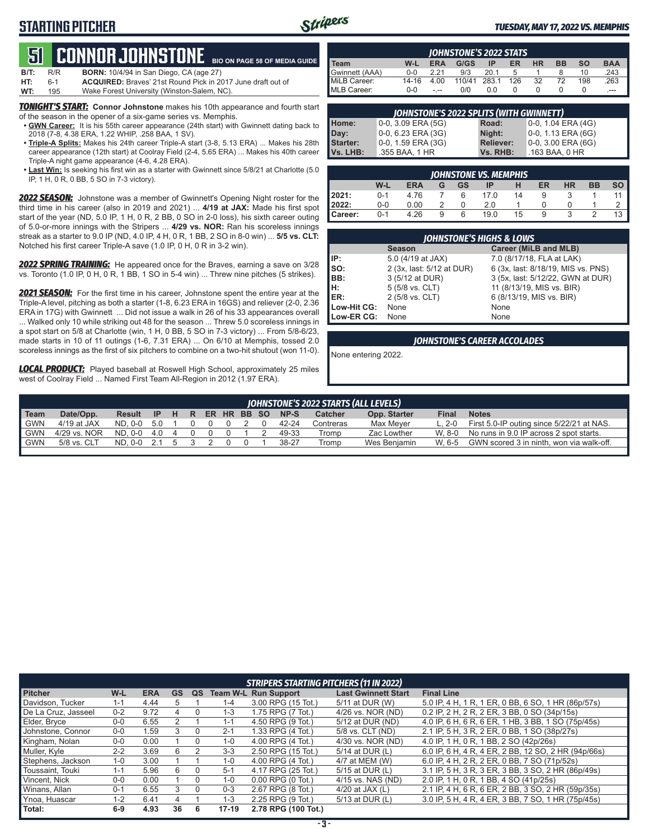### **STARTING PITCHER**



#### *TUESDAY, MAY 17, 2022 VS. MEMPHIS*

#### **BIO ON PAGE 58 OF MEDIA GUIDE 51****CONNOR Johnstone**

| <b>B/T:</b> | R/R     | <b>BORN:</b> 10/4/94 in San Diego, CA (age 27)                     |
|-------------|---------|--------------------------------------------------------------------|
| HT:         | $6 - 1$ | <b>ACQUIRED:</b> Braves' 21st Round Pick in 2017 June draft out of |
| WT:         | 195     | Wake Forest University (Winston-Salem, NC).                        |

**TONIGHT'S START:** Connor Johnstone makes his 10th appearance and fourth start of the season in the opener of a six-game series vs. Memphis.

- **<u>GWN Career:</u>** It is his 55th career appearance (24th start) with Gwinnett dating back to 2018 (7-8, 4.38 ERA, 1.22 WHIP, .258 BAA, 1 SV).
- **• Triple-A Splits:** Makes his 24th career Triple-A start (3-8, 5.13 ERA) ... Makes his 28th career appearance (12th start) at Coolray Field (2-4, 5.65 ERA) ... Makes his 40th career Triple-A night game appearance (4-6, 4.28 ERA).
- **• Last Win:** Is seeking his first win as a starter with Gwinnett since 5/8/21 at Charlotte (5.0 IP, 1 H, 0 R, 0 BB, 5 SO in 7-3 victory).

*2022 SEASON:* Johnstone was a member of Gwinnett's Opening Night roster for the third time in his career (also in 2019 and 2021) ... **4/19 at JAX:** Made his first spot start of the year (ND, 5.0 IP, 1 H, 0 R, 2 BB, 0 SO in 2-0 loss), his sixth career outing of 5.0-or-more innings with the Stripers ... **4/29 vs. NOR:** Ran his scoreless innings streak as a starter to 9.0 IP (ND, 4.0 IP, 4 H, 0 R, 1 BB, 2 SO in 8-0 win) ... **5/5 vs. CLT:** Notched his first career Triple-A save (1.0 IP, 0 H, 0 R in 3-2 win).

*2022 SPRING TRAINING:* He appeared once for the Braves, earning a save on 3/28 vs. Toronto (1.0 IP, 0 H, 0 R, 1 BB, 1 SO in 5-4 win) ... Threw nine pitches (5 strikes).

*2021 SEASON:* For the first time in his career, Johnstone spent the entire year at the Triple-A level, pitching as both a starter (1-8, 6.23 ERA in 16GS) and reliever (2-0, 2.36 ERA in 17G) with Gwinnett ... Did not issue a walk in 26 of his 33 appearances overall

... Walked only 10 while striking out 48 for the season ... Threw 5.0 scoreless innings in a spot start on 5/8 at Charlotte (win, 1 H, 0 BB, 5 SO in 7-3 victory) ... From 5/8-6/23, made starts in 10 of 11 outings (1-6, 7.31 ERA) ... On 6/10 at Memphis, tossed 2.0 scoreless innings as the first of six pitchers to combine on a two-hit shutout (won 11-0).

*LOCAL PRODUCT:* Played baseball at Roswell High School, approximately 25 miles west of Coolray Field ... Named First Team All-Region in 2012 (1.97 ERA).

| <b>JOHNSTONE'S 2022 STATS</b> |         |            |        |       |     |           |           |           |            |
|-------------------------------|---------|------------|--------|-------|-----|-----------|-----------|-----------|------------|
| Team                          | W-L     | <b>ERA</b> | G/GS   | ΙP    | ER  | <b>HR</b> | <b>BB</b> | <b>SO</b> | <b>BAA</b> |
| Gwinnett (AAA)                | $0 - 0$ | 221        | 9/3    | 201   |     |           |           | 10        | .243       |
| MiLB Career:                  | 14-16   | 4.00       | 110/41 | 283.1 | 126 | 32        | 72        | 198       | .263       |
| MLB Career:                   | $0 - 0$ | $- - -$    | 0/0    | 0.0   |     |           |           |           | ---        |

| <b>JOHNSTONE'S 2022 SPLITS (WITH GWINNETT)</b> |                       |                  |                       |  |  |  |  |
|------------------------------------------------|-----------------------|------------------|-----------------------|--|--|--|--|
| <b>Home:</b>                                   | $0-0$ , 3.09 ERA (5G) | Road:            | 0-0, 1.04 ERA (4G)    |  |  |  |  |
| Day:                                           | 0-0, 6.23 ERA (3G)    | Night:           | 0-0, 1.13 ERA (6G)    |  |  |  |  |
| <b>Starter:</b>                                | 0-0, 1.59 ERA (3G)    | <b>Reliever:</b> | $0-0$ , 3.00 ERA (6G) |  |  |  |  |
| Vs. LHB:                                       | .355 BAA, 1 HR        | Vs. RHB:         | .163 BAA, 0 HR        |  |  |  |  |

| JOHNSTONE VS. MEMPHIS |         |            |   |    |      |    |    |           |           |           |
|-----------------------|---------|------------|---|----|------|----|----|-----------|-----------|-----------|
|                       | W-L     | <b>ERA</b> | G | GS | IP   | н  | ER | <b>HR</b> | <b>BB</b> | <b>SO</b> |
| 12021:                | $0 - 1$ | 4.76       |   | 6  | 17.0 | 14 |    |           |           |           |
| 2022:                 | $0 - 0$ | 0.00       |   |    | 2.0  |    |    |           |           |           |
| Career:               | $0 - 1$ | 4.26       | 9 | 6  | 19.0 | 15 |    |           |           | 13        |

|             | <b>JOHNSTONE'S HIGHS &amp; LOWS</b> |                                    |  |  |  |  |  |  |  |  |  |
|-------------|-------------------------------------|------------------------------------|--|--|--|--|--|--|--|--|--|
|             | <b>Season</b>                       | Career (MiLB and MLB)              |  |  |  |  |  |  |  |  |  |
| IP:         | 5.0 (4/19 at JAX)                   | 7.0 (8/17/18, FLA at LAK)          |  |  |  |  |  |  |  |  |  |
| SO:         | 2 (3x, last: 5/12 at DUR)           | 6 (3x, last: 8/18/19, MIS vs. PNS) |  |  |  |  |  |  |  |  |  |
| BB:         | 3 (5/12 at DUR)                     | 3 (5x, last: 5/12/22, GWN at DUR)  |  |  |  |  |  |  |  |  |  |
| Iн:         | 5 (5/8 vs. CLT)                     | 11 (8/13/19, MIS vs. BIR)          |  |  |  |  |  |  |  |  |  |
| IER:        | 2 (5/8 vs. CLT)                     | 6 (8/13/19, MIS vs. BIR)           |  |  |  |  |  |  |  |  |  |
| Low-Hit CG: | None                                | None                               |  |  |  |  |  |  |  |  |  |
| Low-ER CG:  | None                                | None                               |  |  |  |  |  |  |  |  |  |

#### *JOHNSTONE'S CAREER ACCOLADES*

None entering 2022.

| JOHNSTONE'S 2022 STARTS (ALL LEVELS)                                                                                                              |  |  |  |  |  |  |  |  |  |  |
|---------------------------------------------------------------------------------------------------------------------------------------------------|--|--|--|--|--|--|--|--|--|--|
| <b>Team</b><br>Date/Opp.<br>ER HR BB SO<br>NP-S<br><b>Notes</b><br>Opp. Starter<br>Catcher<br>Result IP H R<br>Final                              |  |  |  |  |  |  |  |  |  |  |
| <b>GWN</b><br>First 5.0-IP outing since 5/22/21 at NAS.<br>$4/19$ at JAX<br>ND. 0-0 5.0<br>Max Mever<br>$L. 2 - 0$<br>42-24<br>Contreras          |  |  |  |  |  |  |  |  |  |  |
| l GWN<br>4/29 vs. NOR<br>No runs in 9.0 IP across 2 spot starts.<br>ND. 0-0 4.0<br>W. 8-0<br>Zac Lowther<br>49-33<br>Tromp<br>$\overline{4}$      |  |  |  |  |  |  |  |  |  |  |
| <b>GWN</b><br>GWN scored 3 in ninth, won via walk-off.<br>5/8 vs. CLT<br>38-27<br>Wes Benjamin<br>W. 6-5<br>ND. 0-0 2.1<br>Tromp<br>$\mathcal{D}$ |  |  |  |  |  |  |  |  |  |  |

|                     |         |            |           |    |                 | <b>STRIPERS STARTING PITCHERS (11 IN 2022)</b> |                            |                                                     |
|---------------------|---------|------------|-----------|----|-----------------|------------------------------------------------|----------------------------|-----------------------------------------------------|
| <b>Pitcher</b>      | W-L     | <b>ERA</b> | <b>GS</b> | QS | <b>Team W-L</b> | <b>Run Support</b>                             | <b>Last Gwinnett Start</b> | <b>Final Line</b>                                   |
| Davidson, Tucker    | $1 - 1$ | 4.44       | 5         |    | $1 - 4$         | 3.00 RPG (15 Tot.)                             | 5/11 at DUR (W)            | 5.0 IP, 4 H, 1 R, 1 ER, 0 BB, 6 SO, 1 HR (86p/57s)  |
| De La Cruz, Jasseel | $0 - 2$ | 9.72       | 4         | 0  | $1 - 3$         | 1.75 RPG (7 Tot.)                              | 4/26 vs. NOR (ND)          | 0.2 IP, 2 H, 2 R, 2 ER, 3 BB, 0 SO (34p/15s)        |
| Elder, Bryce        | $0-0$   | 6.55       | 2         |    | $1 - 1$         | 4.50 RPG (9 Tot.)                              | 5/12 at DUR (ND)           | 4.0 IP, 6 H, 6 R, 6 ER, 1 HB, 3 BB, 1 SO (75p/45s)  |
| Johnstone, Connor   | $0-0$   | 1.59       | 3         | 0  | $2 - 1$         | 1.33 RPG (4 Tot.)                              | 5/8 vs. CLT (ND)           | 2.1 IP, 5 H, 3 R, 2 ER, 0 BB, 1 SO (38p/27s)        |
| Kingham, Nolan      | $0-0$   | 0.00       |           | 0  | 1-0             | 4.00 RPG (4 Tot.)                              | 4/30 vs. NOR (ND)          | 4.0 IP, 1 H, 0 R, 1 BB, 2 SO (42p/26s)              |
| Muller, Kyle        | $2 - 2$ | 3.69       | 6         |    | $3 - 3$         | 2.50 RPG (15 Tot.)                             | 5/14 at DUR (L)            | 6.0 IP, 6 H, 4 R, 4 ER, 2 BB, 12 SO, 2 HR (94p/66s) |
| Stephens, Jackson   | $1 - 0$ | 3.00       |           |    | 1-0             | 4.00 RPG (4 Tot.)                              | 4/7 at MEM (W)             | 6.0 IP, 4 H, 2 R, 2 ER, 0 BB, 7 SO (71p/52s)        |
| Toussaint. Touki    | $1 - 1$ | 5.96       | 6         | 0  | $5-1$           | 4.17 RPG (25 Tot.)                             | 5/15 at DUR (L)            | 3.1 IP, 5 H, 3 R, 3 ER, 3 BB, 3 SO, 2 HR (86p/49s)  |
| Vincent, Nick       | $0 - 0$ | 0.00       |           | 0  | 1-0             | $0.00$ RPG $(0$ Tot.)                          | 4/15 vs. NAS (ND)          | 2.0 IP, 1 H, 0 R, 1 BB, 4 SO (41p/25s)              |
| Winans, Allan       | $0 - 1$ | 6.55       | 3         | 0  | $0 - 3$         | 2.67 RPG (8 Tot.)                              | 4/20 at JAX $(L)$          | 2.1 IP, 4 H, 6 R, 6 ER, 2 BB, 3 SO, 2 HR (59p/35s)  |
| Ynoa, Huascar       | $1 - 2$ | 6.41       | 4         |    | $1 - 3$         | 2.25 RPG (9 Tot.)                              | 5/13 at DUR (L)            | 3.0 IP, 5 H, 4 R, 4 ER, 3 BB, 7 SO, 1 HR (75p/45s)  |
| Total:              | $6-9$   | 4.93       | 36        | 6  | $17-19$         | 2.78 RPG (100 Tot.)                            |                            |                                                     |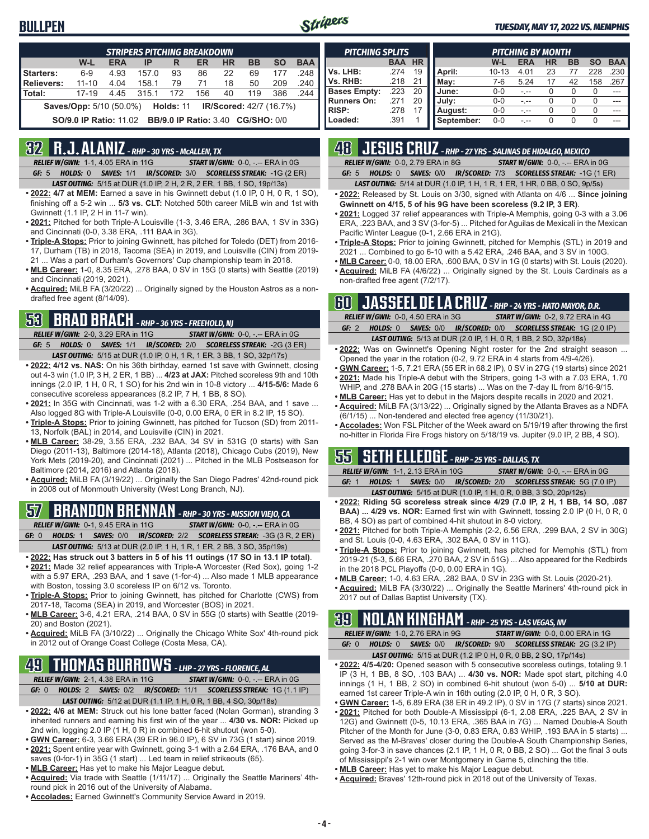### **BULLPEN**



#### *TUESDAY, MAY 17, 2022 VS. MEMPHIS*

|                                                                                      | <b>STRIPERS PITCHING BREAKDOWN</b>                              |            |       |     |     |           |           |           |            |  |  |  |
|--------------------------------------------------------------------------------------|-----------------------------------------------------------------|------------|-------|-----|-----|-----------|-----------|-----------|------------|--|--|--|
|                                                                                      | W-L                                                             | <b>ERA</b> | IP    | R   | ER  | <b>HR</b> | <b>BB</b> | <b>SO</b> | <b>BAA</b> |  |  |  |
| Starters:                                                                            | $6-9$                                                           | 4.93       | 157.0 | 93  | 86  | 22        | 69        | 177       | .248       |  |  |  |
| <b>Relievers:</b>                                                                    | $11 - 10$                                                       | 4.04       | 158.1 | 79  | 71  | 18        | 50        | 209       | .240       |  |  |  |
| Total:                                                                               | $17 - 19$                                                       | 4.45       | 315.1 | 172 | 156 | 40        | 119       | 386       | .244       |  |  |  |
| <b>Saves/Opp:</b> 5/10 (50.0%)<br><b>Holds: 11</b><br><b>IR/Scored: 42/7 (16.7%)</b> |                                                                 |            |       |     |     |           |           |           |            |  |  |  |
|                                                                                      | <b>SO/9.0 IP Ratio: 11.02 BB/9.0 IP Ratio: 3.40 CG/SHO: 0/0</b> |            |       |     |     |           |           |           |            |  |  |  |

### **32 R.J. ALANIZ** *- RHP - 30 YRS - McALLEN, TX*

*RELIEF W/GWN:*1-1, 4.05 ERA in 11G *START W/GWN:*0-0, -.-- ERA in 0G *GF:*5 *HOLDS:*0 *SAVES:*1/1 *IR/SCORED:*3/0 *SCORELESS STREAK:*-1G (2 ER)

- *LAST OUTING:*5/15 at DUR (1.0 IP, 2 H, 2 R, 2 ER, 1 BB, 1 SO, 19p/13s)
- **• 2022: 4/7 at MEM:** Earned a save in his Gwinnett debut (1.0 IP, 0 H, 0 R, 1 SO), finishing off a 5-2 win ... **5/3 vs. CLT:** Notched 50th career MiLB win and 1st with Gwinnett (1.1 IP, 2 H in 11-7 win).
- **• 2021:** Pitched for both Triple-A Louisville (1-3, 3.46 ERA, .286 BAA, 1 SV in 33G) and Cincinnati (0-0, 3.38 ERA, .111 BAA in 3G).
- **• Triple-A Stops:** Prior to joining Gwinnett, has pitched for Toledo (DET) from 2016- 17, Durham (TB) in 2018, Tacoma (SEA) in 2019, and Louisville (CIN) from 2019- 21 ... Was a part of Durham's Governors' Cup championship team in 2018.
- **• MLB Career:** 1-0, 8.35 ERA, .278 BAA, 0 SV in 15G (0 starts) with Seattle (2019) and Cincinnati (2019, 2021).
- **• Acquired:** MiLB FA (3/20/22) ... Originally signed by the Houston Astros as a nondrafted free agent (8/14/09).

### **53 BRAD BRACH** *- RHP - 36 YRS - FREEHOLD, NJ*

*RELIEF W/GWN:*2-0, 3.29 ERA in 11G *START W/GWN:*0-0, -.-- ERA in 0G *GF:*5 *HOLDS:*0 *SAVES:*1/1 *IR/SCORED:*2/0 *SCORELESS STREAK:*-2G (3 ER) *LAST OUTING:*5/15 at DUR (1.0 IP, 0 H, 1 R, 1 ER, 3 BB, 1 SO, 32p/17s)

- **• 2022: 4/12 vs. NAS:** On his 36th birthday, earned 1st save with Gwinnett, closing out 4-3 win (1.0 IP, 3 H, 2 ER, 1 BB) ... **4/23 at JAX:** Pitched scoreless 9th and 10th innings (2.0 IP, 1 H, 0 R, 1 SO) for his 2nd win in 10-8 victory ... **4/15-5/6:** Made 6 consecutive scoreless appearances (8.2 IP, 7 H, 1 BB, 8 SO).
- **• 2021:** In 35G with Cincinnati, was 1-2 with a 6.30 ERA, .254 BAA, and 1 save ... Also logged 8G with Triple-A Louisville (0-0, 0.00 ERA, 0 ER in 8.2 IP, 15 SO).
- **• Triple-A Stops:** Prior to joining Gwinnett, has pitched for Tucson (SD) from 2011- 13, Norfolk (BAL) in 2014, and Louisville (CIN) in 2021.
- **• MLB Career:** 38-29, 3.55 ERA, .232 BAA, 34 SV in 531G (0 starts) with San Diego (2011-13), Baltimore (2014-18), Atlanta (2018), Chicago Cubs (2019), New York Mets (2019-20), and Cincinnati (2021) ... Pitched in the MLB Postseason for Baltimore (2014, 2016) and Atlanta (2018).
- **• Acquired:** MiLB FA (3/19/22) ... Originally the San Diego Padres' 42nd-round pick in 2008 out of Monmouth University (West Long Branch, NJ).

## **57 BRANDON BRENNAN** *- RHP - 30 YRS - MISSION VIEJO, CA*

*RELIEF W/GWN:*0-1, 9.45 ERA in 11G *START W/GWN:*0-0, -.-- ERA in 0G *GF:*0 *HOLDS:*1 *SAVES:*0/0 *IR/SCORED:*2/2 *SCORELESS STREAK:*-3G (3 R, 2 ER)

- *LAST OUTING:*5/13 at DUR (2.0 IP, 1 H, 1 R, 1 ER, 2 BB, 3 SO, 35p/19s)
- **• 2022: Has struck out 3 batters in 5 of his 11 outings (17 SO in 13.1 IP total)**. **• 2021:** Made 32 relief appearances with Triple-A Worcester (Red Sox), going 1-2 with a 5.97 ERA, .293 BAA, and 1 save (1-for-4) ... Also made 1 MLB appearance with Boston, tossing 3.0 scoreless IP on 6/12 vs. Toronto.
- **• Triple-A Stops:** Prior to joining Gwinnett, has pitched for Charlotte (CWS) from 2017-18, Tacoma (SEA) in 2019, and Worcester (BOS) in 2021.
- **• MLB Career:** 3-6, 4.21 ERA, .214 BAA, 0 SV in 55G (0 starts) with Seattle (2019- 20) and Boston (2021).
- **• Acquired:** MiLB FA (3/10/22) ... Originally the Chicago White Sox' 4th-round pick in 2012 out of Orange Coast College (Costa Mesa, CA).

### **49 THOMAS BURROWS** *- LHP - 27 YRS - FLORENCE, AL*

*RELIEF W/GWN:*2-1, 4.38 ERA in 11G *START W/GWN:*0-0, -.-- ERA in 0G *GF:*0 *HOLDS:*2 *SAVES:*0/2 *IR/SCORED:*11/1 *SCORELESS STREAK:*1G (1.1 IP)

- *LAST OUTING:*5/12 at DUR (1.1 IP, 1 H, 0 R, 1 BB, 4 SO, 30p/18s)
- **• 2022: 4/6 at MEM:** Struck out his lone batter faced (Nolan Gorman), stranding 3 inherited runners and earning his first win of the year ... **4/30 vs. NOR:** Picked up 2nd win, logging 2.0 IP (1 H, 0 R) in combined 6-hit shutout (won 5-0).
- **• GWN Career:** 6-3, 3.66 ERA (39 ER in 96.0 IP), 6 SV in 73G (1 start) since 2019.
- **• 2021:** Spent entire year with Gwinnett, going 3-1 with a 2.64 ERA, .176 BAA, and 0 saves (0-for-1) in 35G (1 start) ... Led team in relief strikeouts (65).
- **• MLB Career:** Has yet to make his Major League debut.
- **• Acquired:** Via trade with Seattle (1/11/17) ... Originally the Seattle Mariners' 4thround pick in 2016 out of the University of Alabama.
- **• Accolades:** Earned Gwinnett's Community Service Award in 2019.

| <b>PITCHING SPLITS</b> |            |           |            |           | <b>PITCHING BY MONTH</b> |           |           |           |            |
|------------------------|------------|-----------|------------|-----------|--------------------------|-----------|-----------|-----------|------------|
|                        | <b>BAA</b> | <b>HR</b> |            | W-L       | <b>ERA</b>               | <b>HR</b> | <b>BB</b> | <b>SO</b> | <b>BAA</b> |
| Vs. LHB:               | .274       | 19        | April:     | $10 - 13$ | 4.01                     | 23        |           | 228       | 230        |
| Vs. RHB:               | .218       | 21        | Mav:       | 7-6       | 5.24                     | 17        | 42        | 158       | 267        |
| <b>Bases Empty:</b>    | .223       | 20        | June:      | $0 - 0$   |                          |           |           | 0         |            |
| <b>Runners On:</b>     | 271        | 20        | July:      | $0 - 0$   |                          |           |           | O         |            |
| <b>RISP:</b>           | .278       |           | August:    | $0 - 0$   |                          |           |           | 0         |            |
| Loaded:                | .391       |           | September: | $0 - 0$   |                          |           |           | $\Omega$  | ---        |

### **48 JESUS CRUZ** *- RHP - 27 YRS - SALINAS DE HIDALGO, MEXICO*

*RELIEF W/GWN:*0-0, 2.79 ERA in 8G *START W/GWN:*0-0, -.-- ERA in 0G

*GF:*5 *HOLDS:*0 *SAVES:*0/0 *IR/SCORED:*7/3 *SCORELESS STREAK:*-1G (1 ER) *LAST OUTING:*5/14 at DUR (1.0 IP, 1 H, 1 R, 1 ER, 1 HR, 0 BB, 0 SO, 9p/5s)

- **• 2022:** Released by St. Louis on 3/30, signed with Atlanta on 4/6 ... **Since joining Gwinnett on 4/15, 5 of his 9G have been scoreless (9.2 IP, 3 ER)**.
- **• 2021:** Logged 37 relief appearances with Triple-A Memphis, going 0-3 with a 3.06 ERA, .223 BAA, and 3 SV (3-for-5) ... Pitched for Aguilas de Mexicali in the Mexican Pacific Winter League (0-1, 2.66 ERA in 21G).
- **• Triple-A Stops:** Prior to joining Gwinnett, pitched for Memphis (STL) in 2019 and 2021 ... Combined to go 6-10 with a 5.42 ERA, .246 BAA, and 3 SV in 100G.
- **• MLB Career:** 0-0, 18.00 ERA, .600 BAA, 0 SV in 1G (0 starts) with St. Louis (2020). **• Acquired:** MiLB FA (4/6/22) ... Originally signed by the St. Louis Cardinals as a
- non-drafted free agent (7/2/17).

### **60 JASSEEL DE LA CRUZ** *- RHP - 24 YRS - HATO MAYOR, D.R.*

|         | <b>RELIEF W/GWN: 0-0, 4.50 ERA in 3G</b> | <b>START W/GWN: 0-2, 9.72 ERA in 4G</b>                                 |
|---------|------------------------------------------|-------------------------------------------------------------------------|
| GF: $2$ |                                          | HOLDS: 0 SAVES: 0/0 IR/SCORED: 0/0 SCORELESS STREAK: 1G (2.0 IP)        |
|         |                                          | <b>LAST OUTING:</b> 5/13 at DUR (2.0 IP, 1 H, 0 R, 1 BB, 2 SO, 32p/18s) |

- **• 2022:** Was on Gwinnett's Opening Night roster for the 2nd straight season ... Opened the year in the rotation (0-2, 9.72 ERA in 4 starts from 4/9-4/26).
- **• GWN Career:** 1-5, 7.21 ERA (55 ER in 68.2 IP), 0 SV in 27G (19 starts) since 2021 **• 2021:** Made his Triple-A debut with the Stripers, going 1-3 with a 7.03 ERA, 1.70
- WHIP, and .278 BAA in 20G (15 starts) ... Was on the 7-day IL from 8/16-9/15. **• MLB Career:** Has yet to debut in the Majors despite recalls in 2020 and 2021.
- **• Acquired:** MiLB FA (3/13/22) ... Originally signed by the Atlanta Braves as a NDFA (6/1/15) ... Non-tendered and elected free agency (11/30/21).
- **• Accolades:** Won FSL Pitcher of the Week award on 5/19/19 after throwing the first no-hitter in Florida Fire Frogs history on 5/18/19 vs. Jupiter (9.0 IP, 2 BB, 4 SO).

### **55 SETH ELLEDGE** *- RHP - 25 YRS - DALLAS, TX*

*RELIEF W/GWN:*1-1, 2.13 ERA in 10G *START W/GWN:*0-0, -.-- ERA in 0G *GF:*1 *HOLDS:*1 *SAVES:*0/0 *IR/SCORED:*2/0 *SCORELESS STREAK:*5G (7.0 IP) *LAST OUTING:*5/15 at DUR (1.0 IP, 1 H, 0 R, 0 BB, 3 SO, 20p/12s)

- **• 2022: Riding 5G scoreless streak since 4/29 (7.0 IP, 2 H, 1 BB, 14 SO, .087 BAA) ... 4/29 vs. NOR:** Earned first win with Gwinnett, tossing 2.0 IP (0 H, 0 R, 0 BB, 4 SO) as part of combined 4-hit shutout in 8-0 victory.
- **• 2021:** Pitched for both Triple-A Memphis (2-2, 6.56 ERA, .299 BAA, 2 SV in 30G) and St. Louis (0-0, 4.63 ERA, .302 BAA, 0 SV in 11G).
- **• Triple-A Stops:** Prior to joining Gwinnett, has pitched for Memphis (STL) from 2019-21 (5-3, 5.66 ERA, .270 BAA, 2 SV in 51G) ... Also appeared for the Redbirds in the 2018 PCL Playoffs (0-0, 0.00 ERA in 1G).
- **• MLB Career:** 1-0, 4.63 ERA, .282 BAA, 0 SV in 23G with St. Louis (2020-21).
- **• Acquired:** MiLB FA (3/30/22) ... Originally the Seattle Mariners' 4th-round pick in 2017 out of Dallas Baptist University (TX).

### **39 NOLAN KINGHAM** *- RHP - 25 YRS - LAS VEGAS, NV*

|       | <b>RELIEF W/GWN: 1-0, 2.76 ERA in 9G</b> |                                                                        | <b>START W/GWN: 0-0, 0.00 ERA in 1G</b> |  |
|-------|------------------------------------------|------------------------------------------------------------------------|-----------------------------------------|--|
| GF: 0 |                                          | HOLDS: 0 SAVES: 0/0 IR/SCORED: 9/0 SCORELESS STREAK: 2G (3.2 IP)       |                                         |  |
|       |                                          | <b>LAST OUTING:</b> 5/15 at DUR (1.2 IP 0 H, 0 R, 0 BB, 2 SO, 17p/14s) |                                         |  |

- **• 2022: 4/5-4/20:** Opened season with 5 consecutive scoreless outings, totaling 9.1 IP (3 H, 1 BB, 8 SO, .103 BAA) ... **4/30 vs. NOR:** Made spot start, pitching 4.0 innings (1 H, 1 BB, 2 SO) in combined 6-hit shutout (won 5-0) ... **5/10 at DUR:** earned 1st career Triple-A win in 16th outing (2.0 IP, 0 H, 0 R, 3 SO).
- **• GWN Career:** 1-5, 6.89 ERA (38 ER in 49.2 IP), 0 SV in 17G (7 starts) since 2021. **• 2021:** Pitched for both Double-A Mississippi (6-1, 2.08 ERA, .225 BAA, 2 SV in 12G) and Gwinnett (0-5, 10.13 ERA, .365 BAA in 7G) ... Named Double-A South
- Pitcher of the Month for June (3-0, 0.83 ERA, 0.83 WHIP, .193 BAA in 5 starts) ... Served as the M-Braves' closer during the Double-A South Championship Series, going 3-for-3 in save chances (2.1 IP, 1 H, 0 R, 0 BB, 2 SO) ... Got the final 3 outs of Mississippi's 2-1 win over Montgomery in Game 5, clinching the title.
- **• MLB Career:** Has yet to make his Major League debut.
- **• Acquired:** Braves' 12th-round pick in 2018 out of the University of Texas.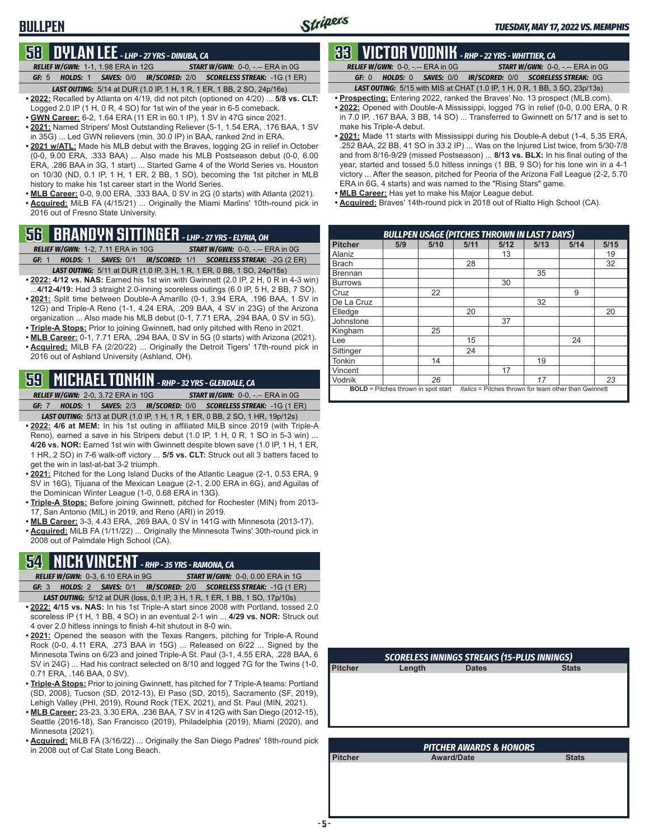### **BULLPEN**

### **58 DYLAN LEE** *- LHP - 27 YRS - DINUBA, CA*

*RELIEF W/GWN:*1-1, 1.98 ERA in 12G *START W/GWN:*0-0, -.-- ERA in 0G *GF:*5 *HOLDS:*1 *SAVES:*0/0 *IR/SCORED:*2/0 *SCORELESS STREAK:*-1G (1 ER) *LAST OUTING:*5/14 at DUR (1.0 IP, 1 H, 1 R, 1 ER, 1 BB, 2 SO, 24p/16s)

- **• 2022:** Recalled by Atlanta on 4/19, did not pitch (optioned on 4/20) ... **5/8 vs. CLT:** Logged 2.0 IP (1 H, 0 R, 4 SO) for 1st win of the year in 6-5 comeback.
- **• GWN Career:** 6-2, 1.64 ERA (11 ER in 60.1 IP), 1 SV in 47G since 2021.
- **• 2021:** Named Stripers' Most Outstanding Reliever (5-1, 1.54 ERA, .176 BAA, 1 SV in 35G) ... Led GWN relievers (min. 30.0 IP) in BAA, ranked 2nd in ERA.
- **• 2021 w/ATL:** Made his MLB debut with the Braves, logging 2G in relief in October (0-0, 9.00 ERA, .333 BAA) ... Also made his MLB Postseason debut (0-0, 6.00 ERA, .286 BAA in 3G, 1 start) ... Started Game 4 of the World Series vs. Houston on 10/30 (ND, 0.1 IP, 1 H, 1 ER, 2 BB, 1 SO), becoming the 1st pitcher in MLB history to make his 1st career start in the World Series.
- **• MLB Career:** 0-0, 9.00 ERA, .333 BAA, 0 SV in 2G (0 starts) with Atlanta (2021). **• Acquired:** MiLB FA (4/15/21) ... Originally the Miami Marlins' 10th-round pick in 2016 out of Fresno State University.

### **56 BRANDYN SITTINGER** *- LHP - 27 YRS - ELYRIA, OH*

- *RELIEF W/GWN:*1-2, 7.11 ERA in 10G *START W/GWN:*0-0, -.-- ERA in 0G *GF:*1 *HOLDS:*1 *SAVES:*0/1 *IR/SCORED:*1/1 *SCORELESS STREAK:*-2G (2 ER)
- *LAST OUTING:*5/11 at DUR (1.0 IP, 3 H, 1 R, 1 ER, 0 BB, 1 SO, 24p/15s) **• 2022: 4/12 vs. NAS:** Earned his 1st win with Gwinnett (2.0 IP, 2 H, 0 R in 4-3 win)
- ...**4/12-4/19:** Had 3 straight 2.0-inning scoreless outings (6.0 IP, 5 H, 2 BB, 7 SO). • 2021: Split time between Double-A Amarillo (0-1, 3.94 ERA, .196 BAA, 1 SV in 12G) and Triple-A Reno (1-1, 4.24 ERA, .209 BAA, 4 SV in 23G) of the Arizona organization ... Also made his MLB debut (0-1, 7.71 ERA, .294 BAA, 0 SV in 5G).
- **• Triple-A Stops:** Prior to joining Gwinnett, had only pitched with Reno in 2021.
- **• MLB Career:** 0-1, 7.71 ERA, .294 BAA, 0 SV in 5G (0 starts) with Arizona (2021).
- **• Acquired:** MiLB FA (2/20/22) ... Originally the Detroit Tigers' 17th-round pick in 2016 out of Ashland University (Ashland, OH).

### **59 MICHAEL TONKIN** *- RHP - 32 YRS - GLENDALE, CA*

*RELIEF W/GWN:*2-0, 3.72 ERA in 10G *START W/GWN:*0-0, -.-- ERA in 0G *GF:*7 *HOLDS:*1 *SAVES:*2/3 *IR/SCORED:*0/0 *SCORELESS STREAK:*-1G (1 ER)

- *LAST OUTING:*5/13 at DUR (1.0 IP, 1 H, 1 R, 1 ER, 0 BB, 2 SO, 1 HR, 19p/12s) **• 2022: 4/6 at MEM:** In his 1st outing in affiliated MiLB since 2019 (with Triple-A Reno), earned a save in his Stripers debut (1.0 IP, 1 H, 0 R, 1 SO in 5-3 win) ... **4/26 vs. NOR:** Earned 1st win with Gwinnett despite blown save (1.0 IP, 1 H, 1 ER, 1 HR, 2 SO) in 7-6 walk-off victory ... **5/5 vs. CLT:** Struck out all 3 batters faced to get the win in last-at-bat 3-2 triumph.
- **• 2021:** Pitched for the Long Island Ducks of the Atlantic League (2-1, 0.53 ERA, 9 SV in 16G), Tijuana of the Mexican League (2-1, 2.00 ERA in 6G), and Aguilas of the Dominican Winter League (1-0, 0.68 ERA in 13G).
- **• Triple-A Stops:** Before joining Gwinnett, pitched for Rochester (MIN) from 2013- 17, San Antonio (MIL) in 2019, and Reno (ARI) in 2019.
- **• MLB Career:** 3-3, 4.43 ERA, .269 BAA, 0 SV in 141G with Minnesota (2013-17).
- **• Acquired:** MiLB FA (1/11/22) ... Originally the Minnesota Twins' 30th-round pick in 2008 out of Palmdale High School (CA).

### **54 NICK VINCENT** *- RHP - 35 YRS - RAMONA, CA*

*RELIEF W/GWN:*0-3, 6.10 ERA in 9G *START W/GWN:*0-0, 0.00 ERA in 1G *GF:*3 *HOLDS:*2 *SAVES:*0/1 *IR/SCORED:*2/0 *SCORELESS STREAK:*-1G (1 ER)

- *LAST OUTING:*5/12 at DUR (loss, 0.1 IP, 3 H, 1 R, 1 ER, 1 BB, 1 SO, 17p/10s) **• 2022: 4/15 vs. NAS:** In his 1st Triple-A start since 2008 with Portland, tossed 2.0 scoreless IP (1 H, 1 BB, 4 SO) in an eventual 2-1 win ... **4/29 vs. NOR:** Struck out 4 over 2.0 hitless innings to finish 4-hit shutout in 8-0 win.
- **• 2021:** Opened the season with the Texas Rangers, pitching for Triple-A Round Rock (0-0, 4.11 ERA, .273 BAA in 15G) ... Released on 6/22 ... Signed by the Minnesota Twins on 6/23 and joined Triple-A St. Paul (3-1, 4.55 ERA, .228 BAA, 6 SV in 24G) ... Had his contract selected on 8/10 and logged 7G for the Twins (1-0, 0.71 ERA, .146 BAA, 0 SV).
- **• Triple-A Stops:** Prior to joining Gwinnett, has pitched for 7 Triple-A teams: Portland (SD, 2008), Tucson (SD, 2012-13), El Paso (SD, 2015), Sacramento (SF, 2019), Lehigh Valley (PHI, 2019), Round Rock (TEX, 2021), and St. Paul (MIN, 2021).
- **• MLB Career:** 23-23, 3.30 ERA, .236 BAA, 7 SV in 412G with San Diego (2012-15), Seattle (2016-18), San Francisco (2019), Philadelphia (2019), Miami (2020), and Minnesota (2021).
- **• Acquired:** MiLB FA (3/16/22) ... Originally the San Diego Padres' 18th-round pick in 2008 out of Cal State Long Beach.

### **33 VICTOR VODNIK** *- RHP - 22 YRS - WHITTIER, CA*

*RELIEF W/GWN:*0-0, -.-- ERA in 0G *START W/GWN:*0-0, -.-- ERA in 0G *GF:*0 *HOLDS:*0 *SAVES:*0/0 *IR/SCORED:*0/0 *SCORELESS STREAK:*0G

- *LAST OUTING:*5/15 with MIS at CHAT (1.0 IP, 1 H, 0 R, 1 BB, 3 SO, 23p/13s) **• Prospecting:** Entering 2022, ranked the Braves' No. 13 prospect (MLB.com).
- **• 2022:** Opened with Double-A Mississippi, logged 7G in relief (0-0, 0.00 ERA, 0 R in 7.0 IP, .167 BAA, 3 BB, 14 SO) ... Transferred to Gwinnett on 5/17 and is set to make his Triple-A debut.
- **• 2021:** Made 11 starts with Mississippi during his Double-A debut (1-4, 5.35 ERA, .252 BAA, 22 BB, 41 SO in 33.2 IP) ... Was on the Injured List twice, from 5/30-7/8 and from 8/16-9/29 (missed Postseason) ... **8/13 vs. BLX:** In his final outing of the year, started and tossed 5.0 hitless innings (1 BB, 9 SO) for his lone win in a 4-1 victory ... After the season, pitched for Peoria of the Arizona Fall League (2-2, 5.70 ERA in 6G, 4 starts) and was named to the "Rising Stars" game.
- **• MLB Career:** Has yet to make his Major League debut.
- **• Acquired:** Braves' 14th-round pick in 2018 out of Rialto High School (CA).

|                |                                            |      |      |      | <b>BULLPEN USAGE (PITCHES THROWN IN LAST 7 DAYS)</b>  |      |      |  |  |  |  |  |  |  |  |  |
|----------------|--------------------------------------------|------|------|------|-------------------------------------------------------|------|------|--|--|--|--|--|--|--|--|--|
| <b>Pitcher</b> | 5/9                                        | 5/10 | 5/11 | 5/12 | 5/13                                                  | 5/14 | 5/15 |  |  |  |  |  |  |  |  |  |
| Alaniz         |                                            |      |      | 13   |                                                       |      | 19   |  |  |  |  |  |  |  |  |  |
| <b>Brach</b>   |                                            |      | 28   |      |                                                       |      | 32   |  |  |  |  |  |  |  |  |  |
| <b>Brennan</b> |                                            |      |      |      | 35                                                    |      |      |  |  |  |  |  |  |  |  |  |
| <b>Burrows</b> |                                            |      |      | 30   |                                                       |      |      |  |  |  |  |  |  |  |  |  |
| Cruz           |                                            | 22   |      |      |                                                       | 9    |      |  |  |  |  |  |  |  |  |  |
| De La Cruz     |                                            |      |      |      | 32                                                    |      |      |  |  |  |  |  |  |  |  |  |
| Elledge        |                                            |      | 20   |      |                                                       |      | 20   |  |  |  |  |  |  |  |  |  |
| Johnstone      |                                            |      |      | 37   |                                                       |      |      |  |  |  |  |  |  |  |  |  |
| Kingham        |                                            | 25   |      |      |                                                       |      |      |  |  |  |  |  |  |  |  |  |
| Lee            |                                            |      | 15   |      |                                                       | 24   |      |  |  |  |  |  |  |  |  |  |
| Sittinger      |                                            |      | 24   |      |                                                       |      |      |  |  |  |  |  |  |  |  |  |
| Tonkin         |                                            | 14   |      |      | 19                                                    |      |      |  |  |  |  |  |  |  |  |  |
| Vincent        |                                            |      |      | 17   |                                                       |      |      |  |  |  |  |  |  |  |  |  |
| Vodnik         |                                            | 26   |      |      | 17                                                    |      | 23   |  |  |  |  |  |  |  |  |  |
|                | <b>BOLD</b> = Pitches thrown in spot start |      |      |      | Italics = Pitches thrown for team other than Gwinnett |      |      |  |  |  |  |  |  |  |  |  |

| <b>SCORELESS INNINGS STREAKS (15-PLUS INNINGS)</b> |              |              |  |  |  |  |  |  |  |
|----------------------------------------------------|--------------|--------------|--|--|--|--|--|--|--|
| Length                                             | <b>Dates</b> | <b>Stats</b> |  |  |  |  |  |  |  |
|                                                    |              |              |  |  |  |  |  |  |  |
|                                                    |              |              |  |  |  |  |  |  |  |
|                                                    |              |              |  |  |  |  |  |  |  |
|                                                    |              |              |  |  |  |  |  |  |  |
|                                                    |              |              |  |  |  |  |  |  |  |
|                                                    |              |              |  |  |  |  |  |  |  |

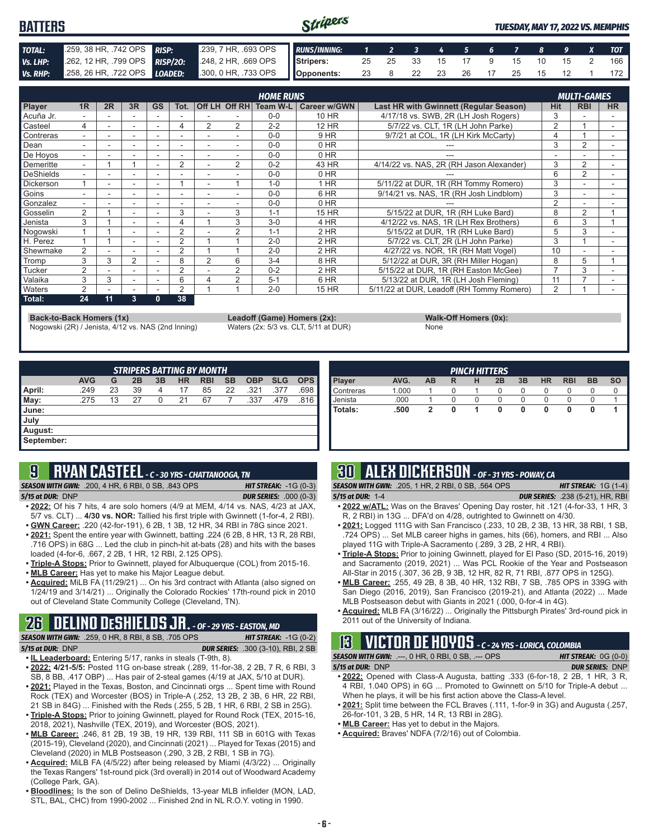#### Stripers **BATTERS** *TUESDAY, MAY 17, 2022 VS. MEMPHIS TOTAL:* .259, 38 HR, .742 OPS *RISP:* .239, 7 HR, .693 OPS *RUNS/INNING: 1 2 3 4 5 6 7 8 9 X TOT Vs. LHP:* .262, 12 HR, .799 OPS *RISP/2O:* .248, 2 HR, .669 OPS **Stripers:** 25 25 33 15 17 9 15 10 15 2 166 *Vs. RHP:* .258, 26 HR, .722 OPS *LOADED:* .300, 0 HR, .733 OPS **Opponents:** 23 8 22 23 26 17 25 15 12 1 172

|                  |                          |    |                          |           |                |                          |                | <b>HOME RUNS</b> |                     |                                               |                | <b>MULTI-GAMES</b> |           |
|------------------|--------------------------|----|--------------------------|-----------|----------------|--------------------------|----------------|------------------|---------------------|-----------------------------------------------|----------------|--------------------|-----------|
| Player           | 1 <sub>R</sub>           | 2R | 3R                       | <b>GS</b> | Tot.           |                          | Off LH Off RH  | Team W-L         | <b>Career w/GWN</b> | <b>Last HR with Gwinnett (Regular Season)</b> | <b>Hit</b>     | <b>RBI</b>         | <b>HR</b> |
| Acuña Jr.        |                          |    |                          |           |                |                          |                | $0 - 0$          | 10 HR               | 4/17/18 vs. SWB, 2R (LH Josh Rogers)          | 3              |                    |           |
| Casteel          | 4                        |    | ۰                        |           | 4              | $\overline{2}$           | 2              | $2 - 2$          | <b>12 HR</b>        | 5/7/22 vs. CLT. 1R (LH John Parke)            | $\overline{2}$ |                    | ۰         |
| Contreras        |                          |    | ۰                        |           |                |                          |                | $0 - 0$          | 9 HR                | 9/7/21 at COL, 1R (LH Kirk McCarty)           |                |                    |           |
| Dean             |                          |    |                          |           |                |                          |                | $0 - 0$          | 0 HR                |                                               | 3              | 2                  |           |
| De Hoyos         | ٠.                       |    |                          |           |                | $\overline{\phantom{a}}$ |                | $0 - 0$          | 0 HR                |                                               |                |                    | ۰         |
| Demeritte        | $\overline{\phantom{0}}$ |    |                          |           | $\overline{2}$ |                          | $\overline{2}$ | $0 - 2$          | 43 HR               | 4/14/22 vs. NAS, 2R (RH Jason Alexander)      | 3              | 2                  |           |
| DeShields        |                          |    |                          |           |                |                          |                | $0 - 0$          | 0 HR                |                                               | 6              | 2                  |           |
| <b>Dickerson</b> |                          |    |                          |           |                |                          |                | $1 - 0$          | $1$ HR              | 5/11/22 at DUR, 1R (RH Tommy Romero)          | 3              |                    |           |
| Goins            |                          |    | ۰                        |           |                |                          |                | $0 - 0$          | 6 HR                | 9/14/21 vs. NAS, 1R (RH Josh Lindblom)        | 3              |                    |           |
| Gonzalez         | $\overline{\phantom{0}}$ |    | $\overline{\phantom{a}}$ |           |                | ٠                        |                | $0 - 0$          | 0 HR                |                                               | $\overline{2}$ |                    |           |
| Gosselin         | 2                        |    |                          |           | 3              |                          | 3              | $1 - 1$          | 15 HR               | 5/15/22 at DUR, 1R (RH Luke Bard)             | 8              | 2                  |           |
| Jenista          | 3                        |    |                          |           |                |                          | 3              | $3-0$            | 4 HR                | 4/12/22 vs. NAS, 1R (LH Rex Brothers)         | 6              | 3                  |           |
| Nogowski         |                          |    | $\overline{\phantom{a}}$ |           | $\sim$         |                          | $\overline{2}$ | $1 - 1$          | $2$ HR              | 5/15/22 at DUR. 1R (RH Luke Bard)             | 5              | 3                  |           |
| H. Perez         |                          |    | $\overline{\phantom{a}}$ |           | 2              |                          |                | $2 - 0$          | 2 HR                | 5/7/22 vs. CLT, 2R (LH John Parke)            | 3              |                    |           |
| Shewmake         | 2                        |    |                          |           | 2              |                          |                | $2 - 0$          | 2 HR                | 4/27/22 vs. NOR, 1R (RH Matt Vogel)           | 10             |                    |           |
| Tromp            | 3                        | 3  | $\overline{2}$           |           | 8              | 2                        | 6              | $3 - 4$          | 8 HR                | 5/12/22 at DUR, 3R (RH Miller Hogan)          | 8              | 5                  |           |
| Tucker           | $\overline{2}$           |    |                          |           | 2              |                          | $\overline{2}$ | $0 - 2$          | 2 HR                | 5/15/22 at DUR, 1R (RH Easton McGee)          |                | 3                  |           |
| Valaika          | 3                        | 3  | ٠                        |           | 6              | 4                        | 2              | $5 - 1$          | 6 HR                | 5/13/22 at DUR, 1R (LH Josh Fleming)          | 11             |                    |           |
| <b>Naters</b>    | 2                        |    | $\overline{\phantom{a}}$ | ۰.        | 2              |                          |                | $2 - 0$          | <b>15 HR</b>        | 5/11/22 at DUR, Leadoff (RH Tommy Romero)     | $\overline{2}$ |                    |           |
| Total:           | 24                       | 11 | 3                        | 0         | 38             |                          |                |                  |                     |                                               |                |                    |           |

**Back-to-Back Homers (1x) Leadoff (Game) Homers (2x): Walk-Off Homers (0x):**<br>
Nogowski (2R) / Jenista, 4/12 vs. NAS (2nd Inning) Waters (2x: 5/3 vs. CLT, 5/11 at DUR) None Nogowski (2R) / Jenista, 4/12 vs. NAS (2nd Inning)

| None |  |  |
|------|--|--|

| <b>STRIPERS BATTING BY MONTH</b> |            |    |    |    |           |            |           |            |            |            |
|----------------------------------|------------|----|----|----|-----------|------------|-----------|------------|------------|------------|
|                                  | <b>AVG</b> | G  | 2B | 3B | <b>HR</b> | <b>RBI</b> | <b>SB</b> | <b>OBP</b> | <b>SLG</b> | <b>OPS</b> |
| April:                           | .249       | 23 | 39 | 4  | 17        | 85         | 22        | .321       | .377       | .698       |
| $\blacksquare$ May:              | .275       | 13 | 27 | 0  | 21        | 67         |           | .337       | .479       | .816       |
| June:                            |            |    |    |    |           |            |           |            |            |            |
| July                             |            |    |    |    |           |            |           |            |            |            |
| August:                          |            |    |    |    |           |            |           |            |            |            |
| September:                       |            |    |    |    |           |            |           |            |            |            |

### **9 RYAN CASTEEL** *- C - 30 YRS - CHATTANOOGA, TN*

*SEASON WITH GWN:*.200, 4 HR, 6 RBI, 0 SB, .843 OPS *HIT STREAK:* -1G (0-3) *5/15 at DUR:*DNP *DUR SERIES:* .000 (0-3)

- **• 2022:** Of his 7 hits, 4 are solo homers (4/9 at MEM, 4/14 vs. NAS, 4/23 at JAX, 5/7 vs. CLT) ... **4/30 vs. NOR:** Tallied his first triple with Gwinnett (1-for-4, 2 RBI). **• GWN Career:** .220 (42-for-191), 6 2B, 1 3B, 12 HR, 34 RBI in 78G since 2021.
- **• 2021:** Spent the entire year with Gwinnett, batting .224 (6 2B, 8 HR, 13 R, 28 RBI, .716 OPS) in 68G ... Led the club in pinch-hit at-bats (28) and hits with the bases loaded (4-for-6, .667, 2 2B, 1 HR, 12 RBI, 2.125 OPS).
- **• Triple-A Stops:** Prior to Gwinnett, played for Albuquerque (COL) from 2015-16.
- **• MLB Career:** Has yet to make his Major League debut.
- **• Acquired:** MiLB FA (11/29/21) ... On his 3rd contract with Atlanta (also signed on 1/24/19 and 3/14/21) ... Originally the Colorado Rockies' 17th-round pick in 2010 out of Cleveland State Community College (Cleveland, TN).

### **26 DELINO DESHIELDS JR.** *- OF - 29 YRS - EASTON, MD*

*SEASON WITH GWN:*.259, 0 HR, 8 RBI, 8 SB, .705 OPS *HIT STREAK:* -1G (0-2) *5/15 at DUR:*DNP *DUR SERIES:* .300 (3-10), RBI, 2 SB

- **• IL Leaderboard:** Entering 5/17, ranks in steals (T-9th, 8).
- **• 2022: 4/21-5/5:** Posted 11G on-base streak (.289, 11-for-38, 2 2B, 7 R, 6 RBI, 3 SB, 8 BB, .417 OBP) ... Has pair of 2-steal games (4/19 at JAX, 5/10 at DUR).
- **• 2021:** Played in the Texas, Boston, and Cincinnati orgs ... Spent time with Round Rock (TEX) and Worcester (BOS) in Triple-A (.252, 13 2B, 2 3B, 6 HR, 22 RBI, 21 SB in 84G) ... Finished with the Reds (.255, 5 2B, 1 HR, 6 RBI, 2 SB in 25G).
- **• Triple-A Stops:** Prior to joining Gwinnett, played for Round Rock (TEX, 2015-16, 2018, 2021), Nashville (TEX, 2019), and Worcester (BOS, 2021).
- **• MLB Career:** .246, 81 2B, 19 3B, 19 HR, 139 RBI, 111 SB in 601G with Texas (2015-19), Cleveland (2020), and Cincinnati (2021) ... Played for Texas (2015) and Cleveland (2020) in MLB Postseason (.290, 3 2B, 2 RBI, 1 SB in 7G).
- **• Acquired:** MiLB FA (4/5/22) after being released by Miami (4/3/22) ... Originally the Texas Rangers' 1st-round pick (3rd overall) in 2014 out of Woodward Academy (College Park, GA).
- **• Bloodlines:** Is the son of Delino DeShields, 13-year MLB infielder (MON, LAD, STL, BAL, CHC) from 1990-2002 ... Finished 2nd in NL R.O.Y. voting in 1990.

| <b>PINCH HITTERS</b> |       |    |   |   |    |    |           |            |           |           |
|----------------------|-------|----|---|---|----|----|-----------|------------|-----------|-----------|
| Player               | AVG.  | AB | R | н | 2B | 3B | <b>HR</b> | <b>RBI</b> | <b>BB</b> | <b>SO</b> |
| Contreras            | 1.000 |    | 0 |   | 0  | O  | $\Omega$  |            |           |           |
| Jenista              | .000  |    | 0 |   | 0  |    | O         | O          |           |           |
| <b>Totals:</b>       | .500  | 2  |   |   | 0  | 0  | 0         | 0          | O         |           |
|                      |       |    |   |   |    |    |           |            |           |           |
|                      |       |    |   |   |    |    |           |            |           |           |

### **30 ALEX DICKERSON** *- OF - 31 YRS - POWAY, CA*

- *SEASON WITH GWN:*.205, 1 HR, 2 RBI, 0 SB, .564 OPS *HIT STREAK:* 1G (1-4) *5/15 at DUR:*1-4 *DUR SERIES:* .238 (5-21), HR, RBI
- **• 2022 w/ATL:** Was on the Braves' Opening Day roster, hit .121 (4-for-33, 1 HR, 3 R, 2 RBI) in 13G ... DFA'd on 4/28, outrighted to Gwinnett on 4/30.
- **• 2021:** Logged 111G with San Francisco (.233, 10 2B, 2 3B, 13 HR, 38 RBI, 1 SB, .724 OPS) ... Set MLB career highs in games, hits (66), homers, and RBI ... Also played 11G with Triple-A Sacramento (.289, 3 2B, 2 HR, 4 RBI).
- **• Triple-A Stops:** Prior to joining Gwinnett, played for El Paso (SD, 2015-16, 2019) and Sacramento (2019, 2021) ... Was PCL Rookie of the Year and Postseason All-Star in 2015 (.307, 36 2B, 9 3B, 12 HR, 82 R, 71 RBI, .877 OPS in 125G).
- **• MLB Career:** .255, 49 2B, 8 3B, 40 HR, 132 RBI, 7 SB, .785 OPS in 339G with San Diego (2016, 2019), San Francisco (2019-21), and Atlanta (2022) ... Made MLB Postseason debut with Giants in 2021 (.000, 0-for-4 in 4G).
- **• Acquired:** MLB FA (3/16/22) ... Originally the Pittsburgh Pirates' 3rd-round pick in 2011 out of the University of Indiana.

### **13 VICTOR DE HOYOS** *- C - 24 YRS - LORICA, COLOMBIA*

*SEASON WITH GWN:*.---, 0 HR, 0 RBI, 0 SB, .--- OPS *HIT STREAK:* 0G (0-0) *5/15 at DUR:*DNP *DUR SERIES:* DNP

- **• 2022:** Opened with Class-A Augusta, batting .333 (6-for-18, 2 2B, 1 HR, 3 R, 4 RBI, 1.040 OPS) in 6G ... Promoted to Gwinnett on 5/10 for Triple-A debut ... When he plays, it will be his first action above the Class-A level.
- **• 2021:** Split time between the FCL Braves (.111, 1-for-9 in 3G) and Augusta (.257, 26-for-101, 3 2B, 5 HR, 14 R, 13 RBI in 28G).
- **• MLB Career:** Has yet to debut in the Majors.
- **• Acquired:** Braves' NDFA (7/2/16) out of Colombia.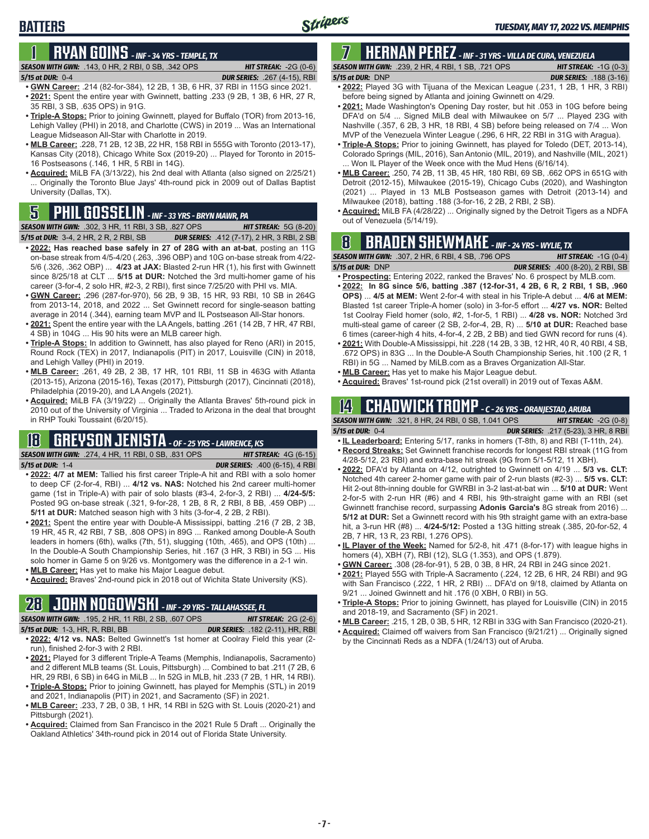# **1 RYAN GOINS** *- INF - 34 YRS - TEMPLE, TX*

### *SEASON WITH GWN:*.143, 0 HR, 2 RBI, 0 SB, .342 OPS *HIT STREAK:* -2G (0-6)

**BATTERS**

- *5/15 at DUR:*0-4 *DUR SERIES:* .267 (4-15), RBI
- **• GWN Career:** .214 (82-for-384), 12 2B, 1 3B, 6 HR, 37 RBI in 115G since 2021. **• 2021:** Spent the entire year with Gwinnett, batting .233 (9 2B, 1 3B, 6 HR, 27 R, 35 RBI, 3 SB, .635 OPS) in 91G.
- **• Triple-A Stops:** Prior to joining Gwinnett, played for Buffalo (TOR) from 2013-16, Lehigh Valley (PHI) in 2018, and Charlotte (CWS) in 2019 ... Was an International League Midseason All-Star with Charlotte in 2019.
- **• MLB Career:** .228, 71 2B, 12 3B, 22 HR, 158 RBI in 555G with Toronto (2013-17), Kansas City (2018), Chicago White Sox (2019-20) ... Played for Toronto in 2015- 16 Postseasons (.146, 1 HR, 5 RBI in 14G).
- **• Acquired:** MiLB FA (3/13/22), his 2nd deal with Atlanta (also signed on 2/25/21) ... Originally the Toronto Blue Jays' 4th-round pick in 2009 out of Dallas Baptist University (Dallas, TX).

# out of Venezuela (5/14/19). **5 PHIL GOSSELIN** *- INF - 33 YRS - BRYN MAWR, PA*

**SEASON WITH GWN:** .302, 3 HR, 11 RBI, 3 SB, .827 OPS *5/15 at DUR:*3-4, 2 HR, 2 R, 2 RBI, SB *DUR SERIES:* .412 (7-17), 2 HR, 3 RBI, 2 SB

- **• 2022: Has reached base safely in 27 of 28G with an at-bat**, posting an 11G on-base streak from 4/5-4/20 (.263, .396 OBP) and 10G on-base streak from 4/22- 5/6 (.326, .362 OBP) ... **4/23 at JAX:** Blasted 2-run HR (1), his first with Gwinnett since 8/25/18 at CLT ... **5/15 at DUR:** Notched the 3rd multi-homer game of his career (3-for-4, 2 solo HR, #2-3, 2 RBI), first since 7/25/20 with PHI vs. MIA.
- **• GWN Career:** .296 (287-for-970), 56 2B, 9 3B, 15 HR, 93 RBI, 10 SB in 264G from 2013-14, 2018, and 2022 ... Set Gwinnett record for single-season batting average in 2014 (.344), earning team MVP and IL Postseason All-Star honors.
- **• 2021:** Spent the entire year with the LA Angels, batting .261 (14 2B, 7 HR, 47 RBI, 4 SB) in 104G ... His 90 hits were an MLB career high.
- **• Triple-A Stops:** In addition to Gwinnett, has also played for Reno (ARI) in 2015, Round Rock (TEX) in 2017, Indianapolis (PIT) in 2017, Louisville (CIN) in 2018, and Lehigh Valley (PHI) in 2019.
- **• MLB Career:** .261, 49 2B, 2 3B, 17 HR, 101 RBI, 11 SB in 463G with Atlanta (2013-15), Arizona (2015-16), Texas (2017), Pittsburgh (2017), Cincinnati (2018), Philadelphia (2019-20), and LA Angels (2021).
- **• Acquired:** MiLB FA (3/19/22) ... Originally the Atlanta Braves' 5th-round pick in 2010 out of the University of Virginia ... Traded to Arizona in the deal that brought in RHP Touki Toussaint (6/20/15).

### **18 GREYSON JENISTA** *- OF - 25 YRS - LAWRENCE, KS*

*SEASON WITH GWN:*.274, 4 HR, 11 RBI, 0 SB, .831 OPS *HIT STREAK:* 4G (6-15) *5/15 at DUR:*1-4 *DUR SERIES:* .400 (6-15), 4 RBI

- **• 2022: 4/7 at MEM:** Tallied his first career Triple-A hit and RBI with a solo homer to deep CF (2-for-4, RBI) ... **4/12 vs. NAS:** Notched his 2nd career multi-homer game (1st in Triple-A) with pair of solo blasts (#3-4, 2-for-3, 2 RBI) ... **4/24-5/5:**  Posted 9G on-base streak (.321, 9-for-28, 1 2B, 8 R, 2 RBI, 8 BB, .459 OBP) ... **5/11 at DUR:** Matched season high with 3 hits (3-for-4, 2 2B, 2 RBI).
- **• 2021:** Spent the entire year with Double-A Mississippi, batting .216 (7 2B, 2 3B, 19 HR, 45 R, 42 RBI, 7 SB, .808 OPS) in 89G ... Ranked among Double-A South leaders in homers (6th), walks (7th, 51), slugging (10th, .465), and OPS (10th) ... In the Double-A South Championship Series, hit .167 (3 HR, 3 RBI) in 5G ... His solo homer in Game 5 on 9/26 vs. Montgomery was the difference in a 2-1 win.
- **• MLB Career:** Has yet to make his Major League debut.
- **• Acquired:** Braves' 2nd-round pick in 2018 out of Wichita State University (KS).

# **28 JOHN NOGOWSKI** *- INF - 29 YRS - TALLAHASSEE, FL*

**SEASON WITH GWN:** .195, 2 HR, 11 RBI, 2 SB, .607 OPS *5/15 at DUR:*1-3, HR, R, RBI, BB *DUR SERIES:* .182 (2-11), HR, RBI

- **• 2022: 4/12 vs. NAS:** Belted Gwinnett's 1st homer at Coolray Field this year (2 run), finished 2-for-3 with 2 RBI.
- **• 2021:** Played for 3 different Triple-A Teams (Memphis, Indianapolis, Sacramento) and 2 different MLB teams (St. Louis, Pittsburgh) ... Combined to bat .211 (7 2B, 6 HR, 29 RBI, 6 SB) in 64G in MiLB ... In 52G in MLB, hit .233 (7 2B, 1 HR, 14 RBI).
- **• Triple-A Stops:** Prior to joining Gwinnett, has played for Memphis (STL) in 2019 and 2021, Indianapolis (PIT) in 2021, and Sacramento (SF) in 2021.
- **• MLB Career:** .233, 7 2B, 0 3B, 1 HR, 14 RBI in 52G with St. Louis (2020-21) and Pittsburgh (2021).
- **• Acquired:** Claimed from San Francisco in the 2021 Rule 5 Draft ... Originally the Oakland Athletics' 34th-round pick in 2014 out of Florida State University.

## **7 HERNAN PEREZ** *- INF - 31 YRS - VILLA DE CURA, VENEZUELA*

*SEASON WITH GWN:*.239, 2 HR, 4 RBI, 1 SB, .721 OPS *HIT STREAK:* -1G (0-3) *5/15 at DUR:*DNP *DUR SERIES:* .188 (3-16)

- **• 2022:** Played 3G with Tijuana of the Mexican League (.231, 1 2B, 1 HR, 3 RBI) before being signed by Atlanta and joining Gwinnett on 4/29.
- **• 2021:** Made Washington's Opening Day roster, but hit .053 in 10G before being DFA'd on 5/4 ... Signed MiLB deal with Milwaukee on 5/7 ... Played 23G with Nashville (.357, 6 2B, 3 HR, 18 RBI, 4 SB) before being released on 7/4 ... Won MVP of the Venezuela Winter League (.296, 6 HR, 22 RBI in 31G with Aragua).
- **• Triple-A Stops:** Prior to joining Gwinnett, has played for Toledo (DET, 2013-14), Colorado Springs (MIL, 2016), San Antonio (MIL, 2019), and Nashville (MIL, 2021) ... Won IL Player of the Week once with the Mud Hens (6/16/14).
- **• MLB Career:** .250, 74 2B, 11 3B, 45 HR, 180 RBI, 69 SB, .662 OPS in 651G with Detroit (2012-15), Milwaukee (2015-19), Chicago Cubs (2020), and Washington (2021) ... Played in 13 MLB Postseason games with Detroit (2013-14) and Milwaukee (2018), batting .188 (3-for-16, 2 2B, 2 RBI, 2 SB).
- **• Acquired:** MiLB FA (4/28/22) ... Originally signed by the Detroit Tigers as a NDFA

## **8 BRADEN SHEWMAKE** *- INF - 24 YRS - WYLIE, TX*

*SEASON WITH GWN:*.307, 2 HR, 6 RBI, 4 SB, .796 OPS *HIT STREAK:* -1G (0-4)

- *5/15 at DUR:*DNP *DUR SERIES:* .400 (8-20), 2 RBI, SB **• Prospecting:** Entering 2022, ranked the Braves' No. 6 prospect by MLB.com.
- **• 2022: In 8G since 5/6, batting .387 (12-for-31, 4 2B, 6 R, 2 RBI, 1 SB, .960 OPS)** ... **4/5 at MEM:** Went 2-for-4 with steal in his Triple-A debut ... **4/6 at MEM:**  Blasted 1st career Triple-A homer (solo) in 3-for-5 effort ... **4/27 vs. NOR:** Belted 1st Coolray Field homer (solo, #2, 1-for-5, 1 RBI) ... **4/28 vs. NOR:** Notched 3rd multi-steal game of career (2 SB, 2-for-4, 2B, R) ... **5/10 at DUR:** Reached base 6 times (career-high 4 hits, 4-for-4, 2 2B, 2 BB) and tied GWN record for runs (4).
- **• 2021:** With Double-A Mississippi, hit .228 (14 2B, 3 3B, 12 HR, 40 R, 40 RBI, 4 SB, .672 OPS) in 83G ... In the Double-A South Championship Series, hit .100 (2 R, 1 RBI) in 5G ... Named by MiLB.com as a Braves Organization All-Star.
- **• MLB Career:** Has yet to make his Major League debut.
- **• Acquired:** Braves' 1st-round pick (21st overall) in 2019 out of Texas A&M.

## **14 CHADWICK TROMP** *- C - 26 YRS - ORANJESTAD, ARUBA*

*SEASON WITH GWN:*.321, 8 HR, 24 RBI, 0 SB, 1.041 OPS *HIT STREAK:* -2G (0-8) *5/15 at DUR:*0-4 *DUR SERIES:* .217 (5-23), 3 HR, 8 RBI

- **• IL Leaderboard:** Entering 5/17, ranks in homers (T-8th, 8) and RBI (T-11th, 24). **• Record Streaks:** Set Gwinnett franchise records for longest RBI streak (11G from
- 4/28-5/12, 23 RBI) and extra-base hit streak (9G from 5/1-5/12, 11 XBH).
- **• 2022:** DFA'd by Atlanta on 4/12, outrighted to Gwinnett on 4/19 ... **5/3 vs. CLT:** Notched 4th career 2-homer game with pair of 2-run blasts (#2-3) ... **5/5 vs. CLT:** Hit 2-out 8th-inning double for GWRBI in 3-2 last-at-bat win ... **5/10 at DUR:** Went 2-for-5 with 2-run HR (#6) and 4 RBI, his 9th-straight game with an RBI (set Gwinnett franchise record, surpassing **Adonis Garcia's** 8G streak from 2016) ... **5/12 at DUR:** Set a Gwinnett record with his 9th straight game with an extra-base hit, a 3-run HR (#8) ... **4/24-5/12:** Posted a 13G hitting streak (.385, 20-for-52, 4 2B, 7 HR, 13 R, 23 RBI, 1.276 OPS).
- **• IL Player of the Week:** Named for 5/2-8, hit .471 (8-for-17) with league highs in homers (4), XBH (7), RBI (12), SLG (1.353), and OPS (1.879).
- **• GWN Career:** .308 (28-for-91), 5 2B, 0 3B, 8 HR, 24 RBI in 24G since 2021.
- **• 2021:** Played 55G with Triple-A Sacramento (.224, 12 2B, 6 HR, 24 RBI) and 9G with San Francisco (.222, 1 HR, 2 RBI) ... DFA'd on 9/18, claimed by Atlanta on 9/21 ... Joined Gwinnett and hit .176 (0 XBH, 0 RBI) in 5G.
- **• Triple-A Stops:** Prior to joining Gwinnett, has played for Louisville (CIN) in 2015 and 2018-19, and Sacramento (SF) in 2021.
- **• MLB Career:** .215, 1 2B, 0 3B, 5 HR, 12 RBI in 33G with San Francisco (2020-21).
- **• Acquired:** Claimed off waivers from San Francisco (9/21/21) ... Originally signed by the Cincinnati Reds as a NDFA (1/24/13) out of Aruba.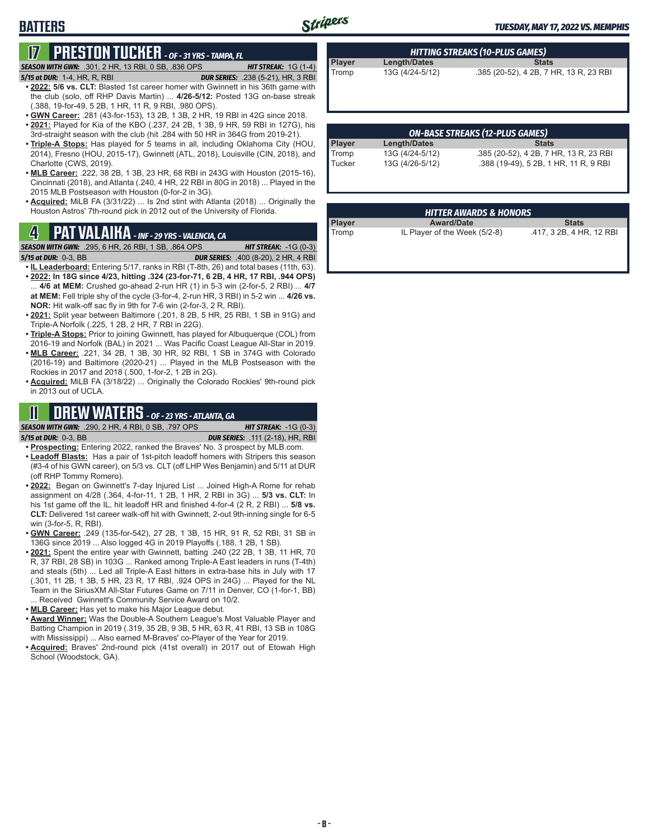### **BATTERS**

### **17 PRESTON TUCKER** *- OF - 31 YRS - TAMPA, FL*

#### *SEASON WITH GWN:*.301, 2 HR, 13 RBI, 0 SB, .836 OPS *HIT STREAK:* 1G (1-4)

- *5/15 at DUR:*1-4, HR, R, RBI *DUR SERIES:* .238 (5-21), HR, 3 RBI **• 2022: 5/6 vs. CLT:** Blasted 1st career homer with Gwinnett in his 36th game with the club (solo, off RHP Davis Martin) ... **4/26-5/12:** Posted 13G on-base streak (.388, 19-for-49, 5 2B, 1 HR, 11 R, 9 RBI, .980 OPS).
- **• GWN Career:** .281 (43-for-153), 13 2B, 1 3B, 2 HR, 19 RBI in 42G since 2018. **• 2021:** Played for Kia of the KBO (.237, 24 2B, 1 3B, 9 HR, 59 RBI in 127G), his
- 3rd-straight season with the club (hit .284 with 50 HR in 364G from 2019-21). **• Triple-A Stops:** Has played for 5 teams in all, including Oklahoma City (HOU,
- 2014), Fresno (HOU, 2015-17), Gwinnett (ATL, 2018), Louisville (CIN, 2018), and Charlotte (CWS, 2019).
- **• MLB Career:** .222, 38 2B, 1 3B, 23 HR, 68 RBI in 243G with Houston (2015-16), Cincinnati (2018), and Atlanta (.240, 4 HR, 22 RBI in 80G in 2018) ... Played in the 2015 MLB Postseason with Houston (0-for-2 in 3G).
- **• Acquired:** MiLB FA (3/31/22) ... Is 2nd stint with Atlanta (2018) ... Originally the Houston Astros' 7th-round pick in 2012 out of the University of Florida.

**SEASON WITH GWN:** .295, 6 HR, 26 RBI, 1 SB, .864 OPS

*5/15 at DUR:*0-3, BB *DUR SERIES:* .400 (8-20), 2 HR, 4 RBI

- **• IL Leaderboard:** Entering 5/17, ranks in RBI (T-8th, 26) and total bases (11th, 63).
- **• 2022: In 18G since 4/23, hitting .324 (23-for-71, 6 2B, 4 HR, 17 RBI, .944 OPS)** ... **4/6 at MEM:** Crushed go-ahead 2-run HR (1) in 5-3 win (2-for-5, 2 RBI) ... **4/7 at MEM:** Fell triple shy of the cycle (3-for-4, 2-run HR, 3 RBI) in 5-2 win ... **4/26 vs. NOR:** Hit walk-off sac fly in 9th for 7-6 win (2-for-3, 2 R, RBI).
- **• 2021:** Split year between Baltimore (.201, 8 2B, 5 HR, 25 RBI, 1 SB in 91G) and Triple-A Norfolk (.225, 1 2B, 2 HR, 7 RBI in 22G).
- **• Triple-A Stops:** Prior to joining Gwinnett, has played for Albuquerque (COL) from 2016-19 and Norfolk (BAL) in 2021 ... Was Pacific Coast League All-Star in 2019.
- **• MLB Career:** .221, 34 2B, 1 3B, 30 HR, 92 RBI, 1 SB in 374G with Colorado (2016-19) and Baltimore (2020-21) ... Played in the MLB Postseason with the Rockies in 2017 and 2018 (.500, 1-for-2, 1 2B in 2G).
- **• Acquired:** MiLB FA (3/18/22) ... Originally the Colorado Rockies' 9th-round pick in 2013 out of UCLA.

### **11 DREW WATERS** *- OF - 23 YRS - ATLANTA, GA*

*SEASON WITH GWN:*.290, 2 HR, 4 RBI, 0 SB, .797 OPS *HIT STREAK:* -1G (0-3) *5/15 at DUR:*0-3, BB *DUR SERIES:* .111 (2-18), HR, RBI

- **• Prospecting:** Entering 2022, ranked the Braves' No. 3 prospect by MLB.com.
- **• Leadoff Blasts:** Has a pair of 1st-pitch leadoff homers with Stripers this season (#3-4 of his GWN career), on 5/3 vs. CLT (off LHP Wes Benjamin) and 5/11 at DUR (off RHP Tommy Romero).
- **• 2022:** Began on Gwinnett's 7-day Injured List ... Joined High-A Rome for rehab assignment on 4/28 (.364, 4-for-11, 1 2B, 1 HR, 2 RBI in 3G) ... **5/3 vs. CLT:** In his 1st game off the IL, hit leadoff HR and finished 4-for-4 (2 R, 2 RBI) ... **5/8 vs. CLT:** Delivered 1st career walk-off hit with Gwinnett, 2-out 9th-inning single for 6-5 win (3-for-5, R, RBI).
- **• GWN Career:** .249 (135-for-542), 27 2B, 1 3B, 15 HR, 91 R, 52 RBI, 31 SB in 136G since 2019 ... Also logged 4G in 2019 Playoffs (.188, 1 2B, 1 SB).
- **• 2021:** Spent the entire year with Gwinnett, batting .240 (22 2B, 1 3B, 11 HR, 70 R, 37 RBI, 28 SB) in 103G ... Ranked among Triple-A East leaders in runs (T-4th) and steals (5th) ... Led all Triple-A East hitters in extra-base hits in July with 17 (.301, 11 2B, 1 3B, 5 HR, 23 R, 17 RBI, .924 OPS in 24G) ... Played for the NL Team in the SiriusXM All-Star Futures Game on 7/11 in Denver, CO (1-for-1, BB) ... Received Gwinnett's Community Service Award on 10/2.
- **• MLB Career:** Has yet to make his Major League debut.
- **• Award Winner:** Was the Double-A Southern League's Most Valuable Player and Batting Champion in 2019 (.319, 35 2B, 9 3B, 5 HR, 63 R, 41 RBI, 13 SB in 108G with Mississippi) ... Also earned M-Braves' co-Player of the Year for 2019.
- **• Acquired:** Braves' 2nd-round pick (41st overall) in 2017 out of Etowah High School (Woodstock, GA).

| HITTING STREAKS (10-PLUS GAMES) |                     |                                        |  |
|---------------------------------|---------------------|----------------------------------------|--|
| Player                          | <b>Length/Dates</b> | <b>Stats</b>                           |  |
| Tromp                           | 13G (4/24-5/12)     | .385 (20-52), 4 2B, 7 HR, 13 R, 23 RBI |  |

|                 | <b>ON-BASE STREAKS (12-PLUS GAMES)</b> |                                        |  |  |
|-----------------|----------------------------------------|----------------------------------------|--|--|
| Player          | <b>Length/Dates</b>                    | <b>Stats</b>                           |  |  |
| Tromp<br>Tucker | 13G (4/24-5/12)                        | .385 (20-52), 4 2B, 7 HR, 13 R, 23 RBI |  |  |
|                 | 13G (4/26-5/12)                        | .388 (19-49), 5 2B, 1 HR, 11 R, 9 RBI  |  |  |
|                 |                                        |                                        |  |  |

| <b>Acquired.</b> MILD FA (3/31/22)  is zild suilt with Atlanta (2010)  Originally the |                              |               |                                   |                         |  |  |
|---------------------------------------------------------------------------------------|------------------------------|---------------|-----------------------------------|-------------------------|--|--|
| Houston Astros' 7th-round pick in 2012 out of the University of Florida.              |                              |               | <b>HITTER AWARDS &amp; HONORS</b> |                         |  |  |
|                                                                                       |                              | <b>Player</b> | Award/Date                        | <b>Stats</b>            |  |  |
| $\mathcal{A}$ <b>PAT VALAIKA</b> - INF - 29 YRS - VALENCIA, CA                        |                              | Tromp         | IL Player of the Week (5/2-8)     | .417, 3 2B, 4 HR, 12 RB |  |  |
| <b>ASON WITH GWN:</b> .295, 6 HR, 26 RBI, 1 SB, .864 OPS                              | <b>HIT STREAK: -1G (0-3)</b> |               |                                   |                         |  |  |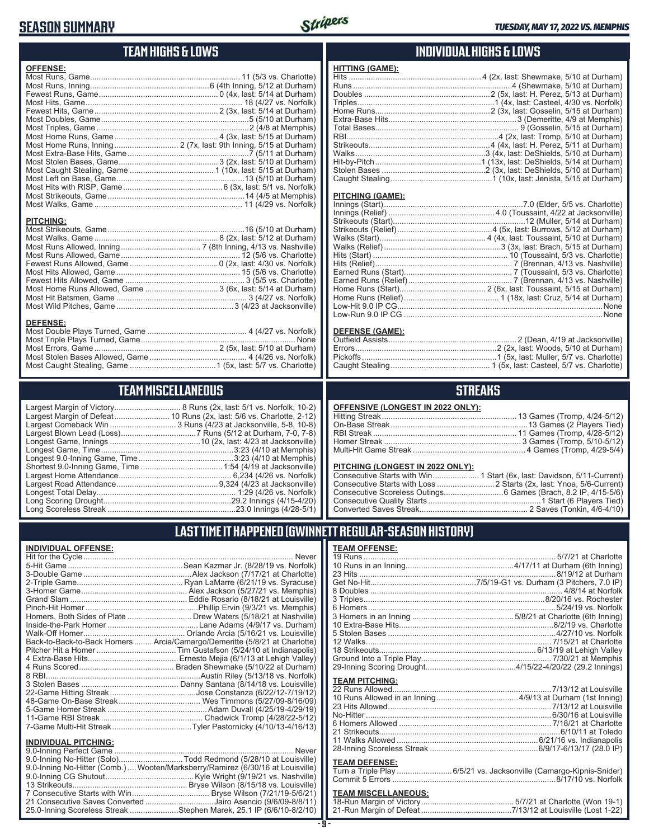### **SEASON SUMMARY**



### **TEAM HIGHS & LOWS**

| <b>OFFENSE:</b>  |  |
|------------------|--|
|                  |  |
|                  |  |
|                  |  |
|                  |  |
|                  |  |
|                  |  |
|                  |  |
|                  |  |
|                  |  |
|                  |  |
|                  |  |
|                  |  |
|                  |  |
|                  |  |
|                  |  |
|                  |  |
|                  |  |
| <b>PITCHING:</b> |  |
|                  |  |
|                  |  |

Most Runs Allowed, Inning .................................... 7 (8th Inning, 4/13 vs. Nashville) Most Runs Allowed, Game ...................................................... 12 (5/6 vs. Charlotte) Fewest Runs Allowed, Game ........................................0 (2x, last: 4/30 vs. Norfolk) Most Hits Allowed, Game ........................................................ 15 (5/6 vs. Charlotte) Fewest Hits Allowed, Game ...................................................... 3 (5/5 vs. Charlotte) Most Home Runs Allowed, Game ................................. 3 (6x, last: 5/14 at Durham) Most Hit Batsmen, Game ........................................................... 3 (4/27 vs. Norfolk) Most Wild Pitches, Game .....................................................3 (4/23 at Jacksonville)

**DEFENSE:** Most Double Plays Turned, Game ............................................. 4 (4/27 vs. Norfolk) Most Triple Plays Turned, Game ...................................................................... None Most Errors, Game ........................................................ 2 (5x, last: 5/10 at Durham) Most Stolen Bases Allowed, Game ............................................ 4 (4/26 vs. Norfolk) Most Caught Stealing, Game .......................................1 (5x, last: 5/7 vs. Charlotte)

#### **INDIVIDUAL HIGHS & LOWS**

| Caught Stealing…………………………………………1 (10x, last: Jenista, 5/15 at Durham) |
|-----------------------------------------------------------------------|
|                                                                       |

#### **PITCHING (GAME):**

**HITTING (GAME):**

#### **DEFENSE (GAME):**

#### **STREAKS**

#### **PITCHING (LONGEST IN 2022 ONLY):**

### **LAST TIME IT HAPPENED (GWINNETT REGULAR-SEASON HISTORY)**

#### **TEAM OFFENSE:**

|                       | 12 Walks…………………………………………………………………………7/15/21 at Charlotte           |
|-----------------------|--------------------------------------------------------------------|
|                       |                                                                    |
|                       |                                                                    |
|                       |                                                                    |
| <b>TEAM PITCHING:</b> |                                                                    |
|                       |                                                                    |
|                       |                                                                    |
|                       |                                                                    |
|                       |                                                                    |
|                       |                                                                    |
|                       |                                                                    |
|                       |                                                                    |
|                       |                                                                    |
|                       |                                                                    |
| <b>TEAM DEFENSE:</b>  |                                                                    |
|                       | Turn a Triple Play 6/5/21 vs. Jacksonville (Camargo-Kipnis-Snider) |
|                       |                                                                    |
|                       |                                                                    |

#### **TEAM MISCELLANEOUS:**

# **TEAM MISCELLANEOUS**

Largest Margin of Victory.............................. 8 Runs (2x, last: 5/1 vs. Norfolk, 10-2) Largest Margin of Defeat......................... 10 Runs (2x, last: 5/6 vs. Charlotte, 2-12) Largest Comeback Win ................................. 3 Runs (4/23 at Jacksonville, 5-8, 10-8) Largest Blown Lead (Loss) ..................................7 Runs (5/12 at Durham, 7-0, 7-8) Longest Game, Innings .........................................10 (2x, last: 4/23 at Jacksonville) Longest Game, Time ............................................................3:23 (4/10 at Memphis) Longest 9.0-Inning Game, Time ...........................................3:23 (4/10 at Memphis) Shortest 9.0-Inning Game, Time .....................................1:54 (4/19 at Jacksonville) Largest Home Attendance ................................................... 6,234 (4/26 vs. Norfolk) Largest Road Attendance ..............................................9,324 (4/23 at Jacksonville) Longest Total Delay............................................................... 1:29 (4/26 vs. Norfolk) Long Scoring Drought..........................................................29.2 Innings (4/15-4/20) Long Scoreless Streak ..........................................................23.0 Innings (4/28-5/1)

### **INDIVIDUAL OFFENSE:**

| Never                                                                      |
|----------------------------------------------------------------------------|
| Sean Kazmar Jr. (8/28/19 vs. Norfolk)                                      |
|                                                                            |
|                                                                            |
|                                                                            |
|                                                                            |
|                                                                            |
|                                                                            |
|                                                                            |
|                                                                            |
| Back-to-Back-to-Back Homers  Arcia/Camargo/Demeritte (5/8/21 at Charlotte) |
|                                                                            |
|                                                                            |
|                                                                            |
|                                                                            |
|                                                                            |
|                                                                            |
|                                                                            |
|                                                                            |
|                                                                            |
|                                                                            |
|                                                                            |

### **INDIVIDUAL PITCHING:**

| 9.0-Inning No-Hitter (Comb.)  Wooten/Marksberry/Ramirez (6/30/16 at Louisville) |
|---------------------------------------------------------------------------------|
|                                                                                 |
|                                                                                 |
|                                                                                 |
| 21 Consecutive Saves Converted Jairo Asencio (9/6/09-8/8/11)                    |
| 25.0-Inning Scoreless Streak Stephen Marek, 25.1 IP (6/6/10-8/2/10)             |